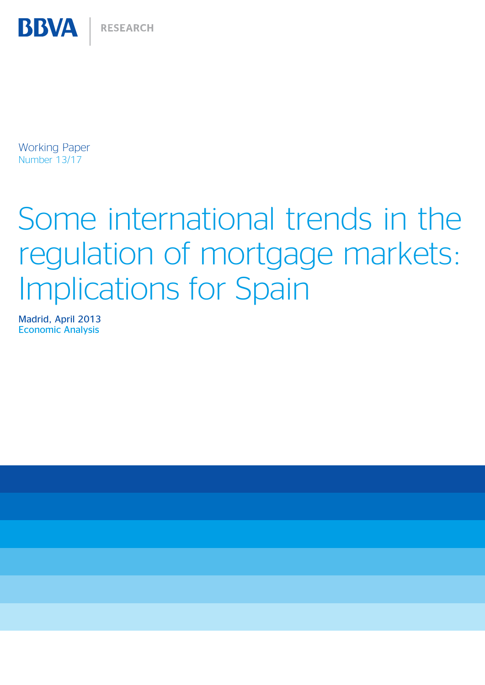Working Paper Number 13/17

**BBVA** 

# Some international trends in the regulation of mortgage markets: Implications for Spain

Madrid, April 2013 Economic Analysis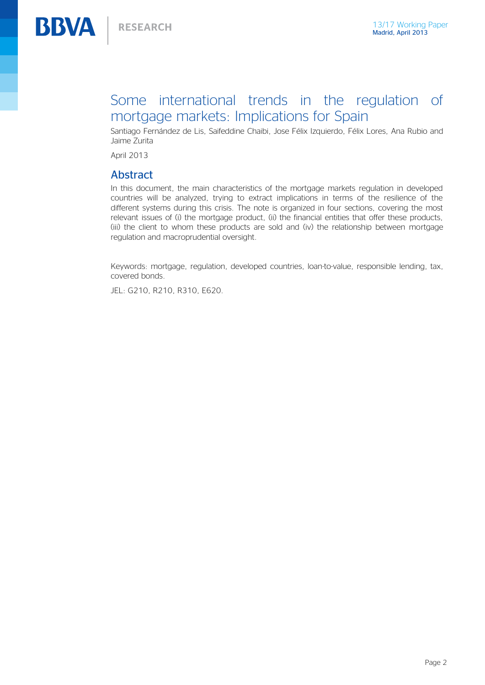### Some international trends in the regulation of mortgage markets: Implications for Spain

Santiago Fernández de Lis, Saifeddine Chaibi, Jose Félix Izquierdo, Félix Lores, Ana Rubio and Jaime Zurita

April 2013

#### Abstract

In this document, the main characteristics of the mortgage markets regulation in developed countries will be analyzed, trying to extract implications in terms of the resilience of the different systems during this crisis. The note is organized in four sections, covering the most relevant issues of (i) the mortgage product, (ii) the financial entities that offer these products, (iii) the client to whom these products are sold and (iv) the relationship between mortgage regulation and macroprudential oversight.

Keywords: mortgage, regulation, developed countries, loan-to-value, responsible lending, tax, covered bonds.

JEL: G210, R210, R310, E620.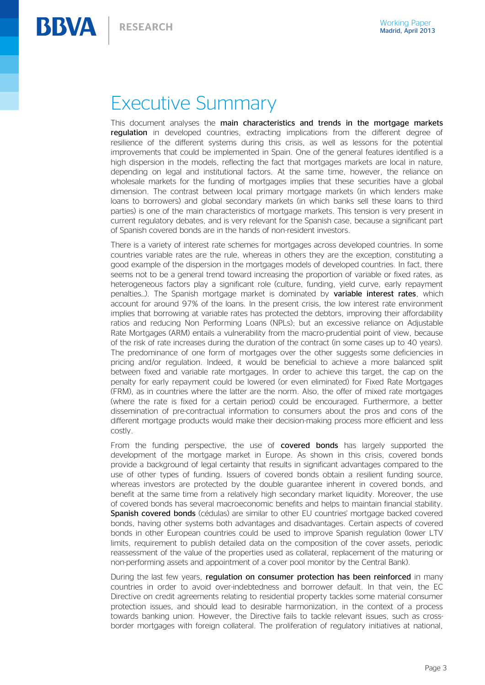**BBVA** 

# Executive Summary

This document analyses the main characteristics and trends in the mortgage markets requlation in developed countries, extracting implications from the different degree of resilience of the different systems during this crisis, as well as lessons for the potential improvements that could be implemented in Spain. One of the general features identified is a high dispersion in the models, reflecting the fact that mortgages markets are local in nature, depending on legal and institutional factors. At the same time, however, the reliance on wholesale markets for the funding of mortgages implies that these securities have a global dimension. The contrast between local primary mortgage markets (in which lenders make loans to borrowers) and global secondary markets (in which banks sell these loans to third parties) is one of the main characteristics of mortgage markets. This tension is very present in current regulatory debates, and is very relevant for the Spanish case, because a significant part of Spanish covered bonds are in the hands of non-resident investors.

There is a variety of interest rate schemes for mortgages across developed countries. In some countries variable rates are the rule, whereas in others they are the exception, constituting a good example of the dispersion in the mortgages models of developed countries. In fact, there seems not to be a general trend toward increasing the proportion of variable or fixed rates, as heterogeneous factors play a significant role (culture, funding, yield curve, early repayment penalties...). The Spanish mortgage market is dominated by **variable interest rates**, which account for around 97% of the loans. In the present crisis, the low interest rate environment implies that borrowing at variable rates has protected the debtors, improving their affordability ratios and reducing Non Performing Loans (NPLs); but an excessive reliance on Adjustable Rate Mortgages (ARM) entails a vulnerability from the macro-prudential point of view, because of the risk of rate increases during the duration of the contract (in some cases up to 40 years). The predominance of one form of mortgages over the other suggests some deficiencies in pricing and/or regulation. Indeed, it would be beneficial to achieve a more balanced split between fixed and variable rate mortgages. In order to achieve this target, the cap on the penalty for early repayment could be lowered (or even eliminated) for Fixed Rate Mortgages (FRM), as in countries where the latter are the norm. Also, the offer of mixed rate mortgages (where the rate is fixed for a certain period) could be encouraged. Furthermore, a better dissemination of pre-contractual information to consumers about the pros and cons of the different mortgage products would make their decision-making process more efficient and less costly.

From the funding perspective, the use of **covered bonds** has largely supported the development of the mortgage market in Europe. As shown in this crisis, covered bonds provide a background of legal certainty that results in significant advantages compared to the use of other types of funding. Issuers of covered bonds obtain a resilient funding source, whereas investors are protected by the double guarantee inherent in covered bonds, and benefit at the same time from a relatively high secondary market liquidity. Moreover, the use of covered bonds has several macroeconomic benefits and helps to maintain financial stability. Spanish covered bonds (cédulas) are similar to other EU countries' mortgage backed covered bonds, having other systems both advantages and disadvantages. Certain aspects of covered bonds in other European countries could be used to improve Spanish regulation (lower LTV limits, requirement to publish detailed data on the composition of the cover assets, periodic reassessment of the value of the properties used as collateral, replacement of the maturing or non-performing assets and appointment of a cover pool monitor by the Central Bank).

During the last few years, regulation on consumer protection has been reinforced in many countries in order to avoid over-indebtedness and borrower default. In that vein, the EC Directive on credit agreements relating to residential property tackles some material consumer protection issues, and should lead to desirable harmonization, in the context of a process towards banking union. However, the Directive fails to tackle relevant issues, such as crossborder mortgages with foreign collateral. The proliferation of regulatory initiatives at national,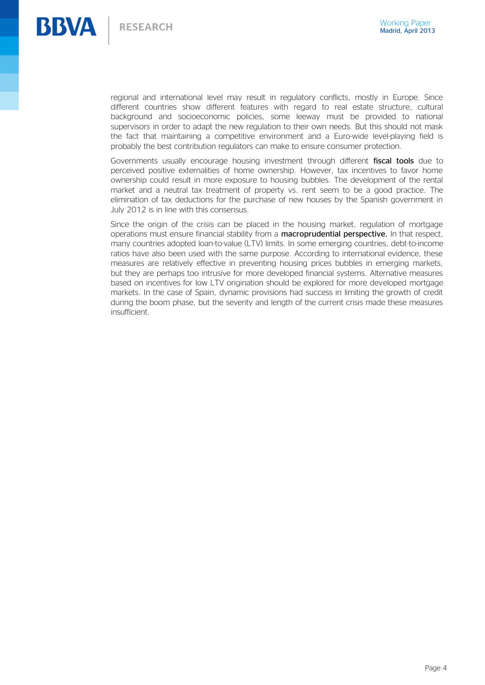

regional and international level may result in regulatory conflicts, mostly in Europe. Since different countries show different features with regard to real estate structure, cultural background and socioeconomic policies, some leeway must be provided to national supervisors in order to adapt the new regulation to their own needs. But this should not mask the fact that maintaining a competitive environment and a Euro-wide level-playing field is probably the best contribution regulators can make to ensure consumer protection.

Governments usually encourage housing investment through different fiscal tools due to perceived positive externalities of home ownership. However, tax incentives to favor home ownership could result in more exposure to housing bubbles. The development of the rental market and a neutral tax treatment of property vs. rent seem to be a good practice. The elimination of tax deductions for the purchase of new houses by the Spanish government in July 2012 is in line with this consensus.

Since the origin of the crisis can be placed in the housing market, regulation of mortgage operations must ensure financial stability from a macroprudential perspective. In that respect, many countries adopted loan-to-value (LTV) limits. In some emerging countries, debt-to-income ratios have also been used with the same purpose. According to international evidence, these measures are relatively effective in preventing housing prices bubbles in emerging markets, but they are perhaps too intrusive for more developed financial systems. Alternative measures based on incentives for low LTV origination should be explored for more developed mortgage markets. In the case of Spain, dynamic provisions had success in limiting the growth of credit during the boom phase, but the severity and length of the current crisis made these measures insufficient.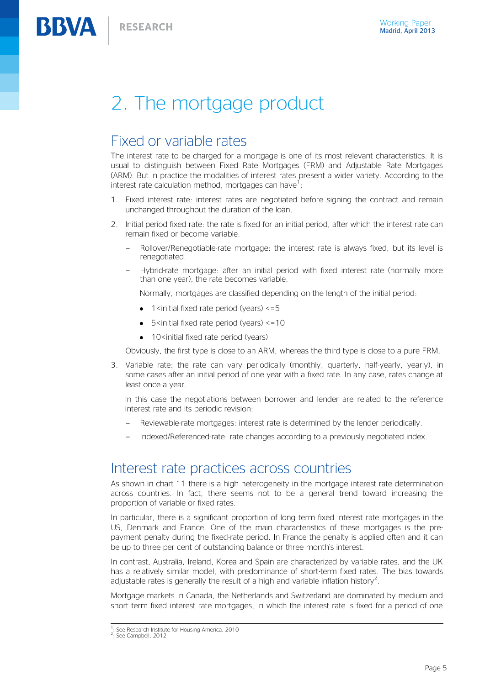**BBVA** 

# 2. The mortgage product

### Fixed or variable rates

The interest rate to be charged for a mortgage is one of its most relevant characteristics. It is usual to distinguish between Fixed Rate Mortgages (FRM) and Adjustable Rate Mortgages (ARM). But in practice the modalities of interest rates present a wider variety. According to the interest rate calculation method, mortgages can have<sup>1</sup>:

- 1. Fixed interest rate: interest rates are negotiated before signing the contract and remain unchanged throughout the duration of the loan.
- 2. Initial period fixed rate: the rate is fixed for an initial period, after which the interest rate can remain fixed or become variable.
	- Rollover/Renegotiable-rate mortgage: the interest rate is always fixed, but its level is renegotiated.
	- Hybrid-rate mortgage: after an initial period with fixed interest rate (normally more than one year), the rate becomes variable.

Normally, mortgages are classified depending on the length of the initial period:

- 1 <initial fixed rate period (years)  $\leq$ =5
- $\bullet$  5 <initial fixed rate period (years) <=10
- $\bullet$  10<initial fixed rate period (years)

Obviously, the first type is close to an ARM, whereas the third type is close to a pure FRM.

3. Variable rate: the rate can vary periodically (monthly, quarterly, half-yearly, yearly), in some cases after an initial period of one year with a fixed rate. In any case, rates change at least once a year.

In this case the negotiations between borrower and lender are related to the reference interest rate and its periodic revision:

- Reviewable-rate mortgages: interest rate is determined by the lender periodically.
- Indexed/Referenced-rate: rate changes according to a previously negotiated index.

### Interest rate practices across countries

As shown in chart 11 there is a high heterogeneity in the mortgage interest rate determination across countries. In fact, there seems not to be a general trend toward increasing the proportion of variable or fixed rates.

In particular, there is a significant proportion of long term fixed interest rate mortgages in the US, Denmark and France. One of the main characteristics of these mortgages is the prepayment penalty during the fixed-rate period. In France the penalty is applied often and it can be up to three per cent of outstanding balance or three month's interest.

In contrast, Australia, Ireland, Korea and Spain are characterized by variable rates, and the UK has a relatively similar model, with predominance of short-term fixed rates. The bias towards adjustable rates is generally the result of a high and variable inflation history<sup>2</sup>.

Mortgage markets in Canada, the Netherlands and Switzerland are dominated by medium and short term fixed interest rate mortgages, in which the interest rate is fixed for a period of one

 1 : See Research Institute for Housing America, 2010

<sup>&</sup>lt;sup>2</sup>: See Campbell, 2012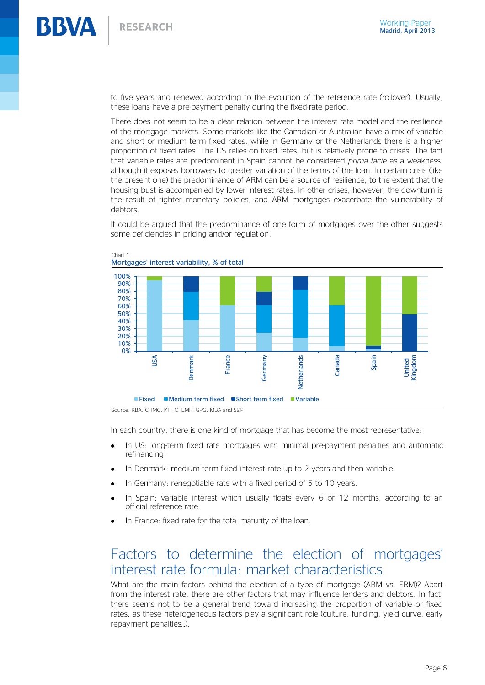to five years and renewed according to the evolution of the reference rate (rollover). Usually, these loans have a pre-payment penalty during the fixed-rate period.

There does not seem to be a clear relation between the interest rate model and the resilience of the mortgage markets. Some markets like the Canadian or Australian have a mix of variable and short or medium term fixed rates, while in Germany or the Netherlands there is a higher proportion of fixed rates. The US relies on fixed rates, but is relatively prone to crises. The fact that variable rates are predominant in Spain cannot be considered *prima facie* as a weakness, although it exposes borrowers to greater variation of the terms of the loan. In certain crisis (like the present one) the predominance of ARM can be a source of resilience, to the extent that the housing bust is accompanied by lower interest rates. In other crises, however, the downturn is the result of tighter monetary policies, and ARM mortgages exacerbate the vulnerability of debtors.

It could be argued that the predominance of one form of mortgages over the other suggests some deficiencies in pricing and/or regulation.



Chart 1 Mortgages' interest variability, % of total

Source: RBA, CHMC, KHFC, EMF, GPG, MBA and S&P

In each country, there is one kind of mortgage that has become the most representative:

- In US: long-term fixed rate mortgages with minimal pre-payment penalties and automatic refinancing.
- In Denmark: medium term fixed interest rate up to 2 years and then variable
- In Germany: renegotiable rate with a fixed period of 5 to 10 years.  $\bullet$
- In Spain: variable interest which usually floats every 6 or 12 months, according to an  $\bullet$ official reference rate
- In France: fixed rate for the total maturity of the loan.

### Factors to determine the election of mortgages' interest rate formula: market characteristics

What are the main factors behind the election of a type of mortgage (ARM vs. FRM)? Apart from the interest rate, there are other factors that may influence lenders and debtors. In fact, there seems not to be a general trend toward increasing the proportion of variable or fixed rates, as these heterogeneous factors play a significant role (culture, funding, yield curve, early repayment penalties…).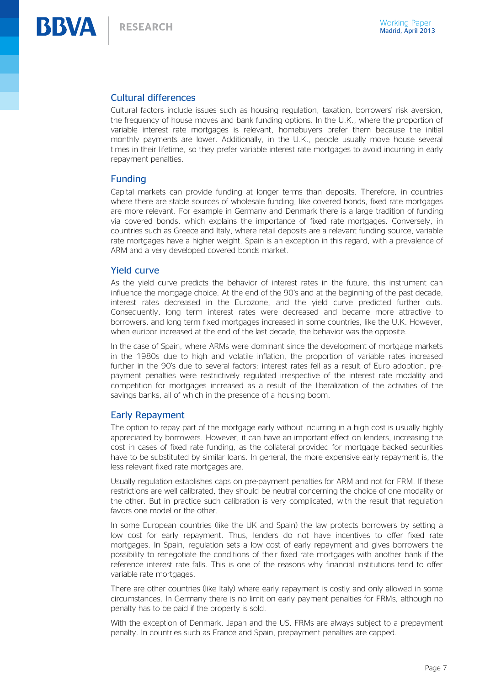

#### Cultural differences

Cultural factors include issues such as housing regulation, taxation, borrowers' risk aversion, the frequency of house moves and bank funding options. In the U.K., where the proportion of variable interest rate mortgages is relevant, homebuyers prefer them because the initial monthly payments are lower. Additionally, in the U.K., people usually move house several times in their lifetime, so they prefer variable interest rate mortgages to avoid incurring in early repayment penalties.

#### Funding

Capital markets can provide funding at longer terms than deposits. Therefore, in countries where there are stable sources of wholesale funding, like covered bonds, fixed rate mortgages are more relevant. For example in Germany and Denmark there is a large tradition of funding via covered bonds, which explains the importance of fixed rate mortgages. Conversely, in countries such as Greece and Italy, where retail deposits are a relevant funding source, variable rate mortgages have a higher weight. Spain is an exception in this regard, with a prevalence of ARM and a very developed covered bonds market.

#### Yield curve

As the yield curve predicts the behavior of interest rates in the future, this instrument can influence the mortgage choice. At the end of the 90's and at the beginning of the past decade, interest rates decreased in the Eurozone, and the yield curve predicted further cuts. Consequently, long term interest rates were decreased and became more attractive to borrowers, and long term fixed mortgages increased in some countries, like the U.K. However, when euribor increased at the end of the last decade, the behavior was the opposite.

In the case of Spain, where ARMs were dominant since the development of mortgage markets in the 1980s due to high and volatile inflation, the proportion of variable rates increased further in the 90's due to several factors: interest rates fell as a result of Euro adoption, prepayment penalties were restrictively regulated irrespective of the interest rate modality and competition for mortgages increased as a result of the liberalization of the activities of the savings banks, all of which in the presence of a housing boom.

#### Early Repayment

The option to repay part of the mortgage early without incurring in a high cost is usually highly appreciated by borrowers. However, it can have an important effect on lenders, increasing the cost in cases of fixed rate funding, as the collateral provided for mortgage backed securities have to be substituted by similar loans. In general, the more expensive early repayment is, the less relevant fixed rate mortgages are.

Usually regulation establishes caps on pre-payment penalties for ARM and not for FRM. If these restrictions are well calibrated, they should be neutral concerning the choice of one modality or the other. But in practice such calibration is very complicated, with the result that regulation favors one model or the other.

In some European countries (like the UK and Spain) the law protects borrowers by setting a low cost for early repayment. Thus, lenders do not have incentives to offer fixed rate mortgages. In Spain, regulation sets a low cost of early repayment and gives borrowers the possibility to renegotiate the conditions of their fixed rate mortgages with another bank if the reference interest rate falls. This is one of the reasons why financial institutions tend to offer variable rate mortgages.

There are other countries (like Italy) where early repayment is costly and only allowed in some circumstances. In Germany there is no limit on early payment penalties for FRMs, although no penalty has to be paid if the property is sold.

With the exception of Denmark, Japan and the US, FRMs are always subject to a prepayment penalty. In countries such as France and Spain, prepayment penalties are capped.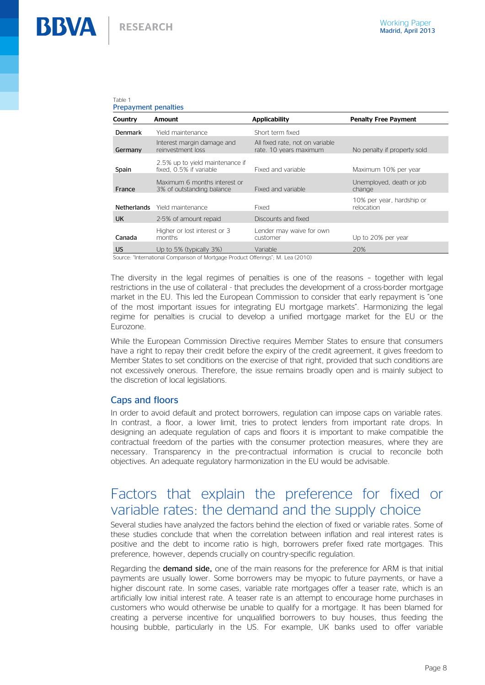#### Table 1 Prepayment penalties

| Country            | Amount                                                     | <b>Applicability</b>                                      | <b>Penalty Free Payment</b>             |
|--------------------|------------------------------------------------------------|-----------------------------------------------------------|-----------------------------------------|
| <b>Denmark</b>     | Yield maintenance                                          | Short term fixed                                          |                                         |
| Germany            | Interest margin damage and<br>reinvestment loss            | All fixed rate, not on variable<br>rate. 10 years maximum | No penalty if property sold             |
| Spain              | 2.5% up to yield maintenance if<br>fixed, 0.5% if variable | Fixed and variable                                        | Maximum 10% per year                    |
| France             | Maximum 6 months interest or<br>3% of outstanding balance  | Fixed and variable                                        | Unemployed, death or job<br>change      |
| <b>Netherlands</b> | Yield maintenance                                          | Fixed                                                     | 10% per year, hardship or<br>relocation |
| <b>UK</b>          | 2-5% of amount repaid                                      | Discounts and fixed                                       |                                         |
| Canada             | Higher or lost interest or 3<br>months                     | Lender may waive for own<br>customer                      | Up to 20% per year                      |
| US                 | Up to 5% (typically 3%)                                    | Variable                                                  | 20%                                     |

Source: "International Comparison of Mortgage Product Offerings"; M. Lea (2010)

The diversity in the legal regimes of penalties is one of the reasons – together with legal restrictions in the use of collateral - that precludes the development of a cross-border mortgage market in the EU. This led the European Commission to consider that early repayment is "one of the most important issues for integrating EU mortgage markets". Harmonizing the legal regime for penalties is crucial to develop a unified mortgage market for the EU or the Eurozone.

While the European Commission Directive requires Member States to ensure that consumers have a right to repay their credit before the expiry of the credit agreement, it gives freedom to Member States to set conditions on the exercise of that right, provided that such conditions are not excessively onerous. Therefore, the issue remains broadly open and is mainly subject to the discretion of local legislations.

#### Caps and floors

In order to avoid default and protect borrowers, regulation can impose caps on variable rates. In contrast, a floor, a lower limit, tries to protect lenders from important rate drops. In designing an adequate regulation of caps and floors it is important to make compatible the contractual freedom of the parties with the consumer protection measures, where they are necessary. Transparency in the pre-contractual information is crucial to reconcile both objectives. An adequate regulatory harmonization in the EU would be advisable.

### Factors that explain the preference for fixed or variable rates: the demand and the supply choice

Several studies have analyzed the factors behind the election of fixed or variable rates. Some of these studies conclude that when the correlation between inflation and real interest rates is positive and the debt to income ratio is high, borrowers prefer fixed rate mortgages. This preference, however, depends crucially on country-specific regulation.

Regarding the **demand side**, one of the main reasons for the preference for ARM is that initial payments are usually lower. Some borrowers may be myopic to future payments, or have a higher discount rate. In some cases, variable rate mortgages offer a teaser rate, which is an artificially low initial interest rate. A teaser rate is an attempt to encourage home purchases in customers who would otherwise be unable to qualify for a mortgage. It has been blamed for creating a perverse incentive for unqualified borrowers to buy houses, thus feeding the housing bubble, particularly in the US. For example, UK banks used to offer variable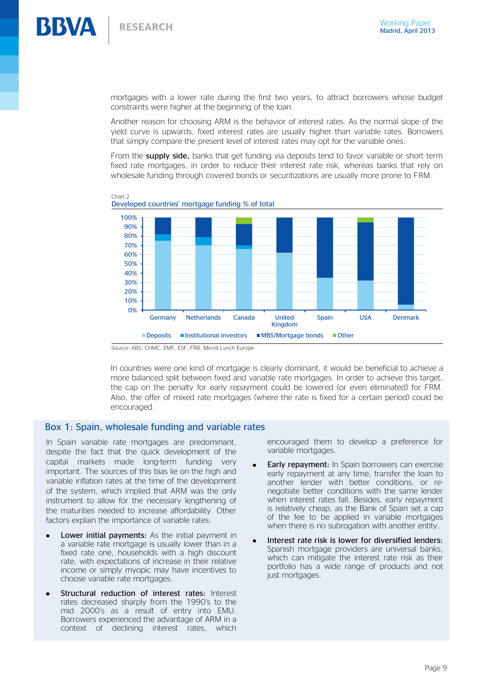

mortgages with a lower rate during the first two years, to attract borrowers whose budget constraints were higher at the beginning of the loan.

Another reason for choosing ARM is the behavior of interest rates. As the normal slope of the yield curve is upwards, fixed interest rates are usually higher than variable rates. Borrowers that simply compare the present level of interest rates may opt for the variable ones.

From the supply side, banks that get funding via deposits tend to favor variable or short term fixed rate mortgages, in order to reduce their interest rate risk, whereas banks that rely on wholesale funding through covered bonds or securitizations are usually more prone to FRM.





In countries were one kind of mortgage is clearly dominant, it would be beneficial to achieve a more balanced split between fixed and variable rate mortgages. In order to achieve this target, the cap on the penalty for early repayment could be lowered (or even eliminated) for FRM. Also, the offer of mixed rate mortgages (where the rate is fixed for a certain period) could be encouraged.

#### Box 1: Spain, wholesale funding and variable rates

In Spain variable rate mortgages are predominant, despite the fact that the quick development of the capital markets made long-term funding very important. The sources of this bias lie on the high and variable inflation rates at the time of the development of the system, which implied that ARM was the only instrument to allow for the necessary lengthening of the maturities needed to increase affordability. Other factors explain the importance of variable rates:

- Lower initial payments: As the initial payment in a variable rate mortgage is usually lower than in a fixed rate one, households with a high discount rate, with expectations of increase in their relative income or simply myopic may have incentives to choose variable rate mortgages.
- Structural reduction of interest rates: Interest rates decreased sharply from the 1990's to the mid 2000's as a result of entry into EMU. Borrowers experienced the advantage of ARM in a context of declining interest rates, which

encouraged them to develop a preference for variable mortgages.

- Early repayment: In Spain borrowers can exercise early repayment at any time, transfer the loan to another lender with better conditions, or renegotiate better conditions with the same lender when interest rates fall. Besides, early repayment is relatively cheap, as the Bank of Spain set a cap of the fee to be applied in variable mortgages when there is no subrogation with another entity.
- Interest rate risk is lower for diversified lenders: Spanish mortgage providers are universal banks, which can mitigate the interest rate risk as their portfolio has a wide range of products and not just mortgages.

Source: ABS, CHMC, EMF, ESF, FRB, Merrill Lynch Europe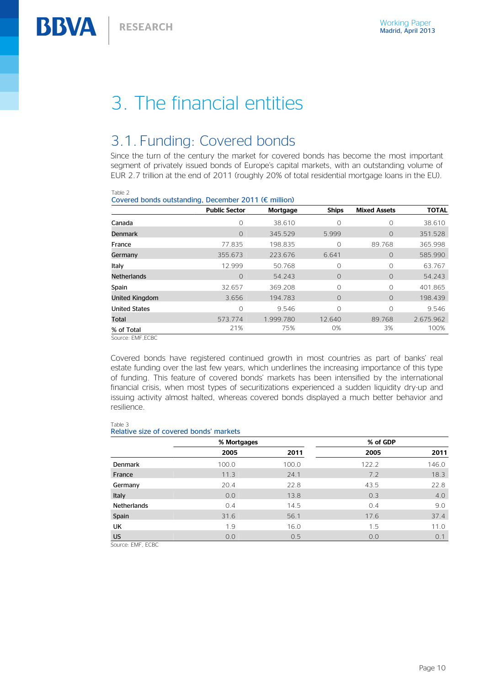# 3. The financial entities

### 3.1. Funding: Covered bonds

Since the turn of the century the market for covered bonds has become the most important segment of privately issued bonds of Europe's capital markets, with an outstanding volume of EUR 2.7 trillion at the end of 2011 (roughly 20% of total residential mortgage loans in the EU).

| Table Z                                                        |                      |                 |              |                     |              |  |  |  |  |
|----------------------------------------------------------------|----------------------|-----------------|--------------|---------------------|--------------|--|--|--|--|
| Covered bonds outstanding, December 2011 ( $\epsilon$ million) |                      |                 |              |                     |              |  |  |  |  |
|                                                                | <b>Public Sector</b> | <b>Mortgage</b> | <b>Ships</b> | <b>Mixed Assets</b> | <b>TOTAL</b> |  |  |  |  |
| Canada                                                         | $\Omega$             | 38.610          | $\Omega$     | 0                   | 38.610       |  |  |  |  |
| <b>Denmark</b>                                                 | $\Omega$             | 345.529         | 5.999        | $\Omega$            | 351.528      |  |  |  |  |
| France                                                         | 77.835               | 198.835         | 0            | 89.768              | 365.998      |  |  |  |  |
| Germany                                                        | 355.673              | 223.676         | 6.641        | 0                   | 585.990      |  |  |  |  |
| Italy                                                          | 12.999               | 50.768          | 0            | 0                   | 63.767       |  |  |  |  |
| Netherlands                                                    | $\Omega$             | 54.243          | $\Omega$     | $\Omega$            | 54.243       |  |  |  |  |
| Spain                                                          | 32.657               | 369.208         | $\Omega$     | 0                   | 401.865      |  |  |  |  |
| United Kingdom                                                 | 3.656                | 194.783         | $\Omega$     | $\Omega$            | 198.439      |  |  |  |  |
| <b>United States</b>                                           | 0                    | 9.546           | $\Omega$     | 0                   | 9.546        |  |  |  |  |
| Total                                                          | 573.774              | 1.999.780       | 12.640       | 89.768              | 2.675.962    |  |  |  |  |
| % of Total                                                     | 21%                  | 75%             | 0%           | 3%                  | 100%         |  |  |  |  |
| Source: EMF.ECBC                                               |                      |                 |              |                     |              |  |  |  |  |

Covered bonds have registered continued growth in most countries as part of banks' real estate funding over the last few years, which underlines the increasing importance of this type of funding. This feature of covered bonds' markets has been intensified by the international financial crisis, when most types of securitizations experienced a sudden liquidity dry-up and issuing activity almost halted, whereas covered bonds displayed a much better behavior and resilience.

#### Table 3

Table 2

#### Relative size of covered bonds' markets

|                    | % Mortgages |       | % of GDP |       |
|--------------------|-------------|-------|----------|-------|
|                    | 2005        | 2011  | 2005     | 2011  |
| <b>Denmark</b>     | 100.0       | 100.0 | 122.2    | 146.0 |
| France             | 11.3        | 24.1  | 7.2      | 18.3  |
| Germany            | 20.4        | 22.8  | 43.5     | 22.8  |
| Italy              | 0.0         | 13.8  | 0.3      | 4.0   |
| <b>Netherlands</b> | 0.4         | 14.5  | 0.4      | 9.0   |
| Spain              | 31.6        | 56.1  | 17.6     | 37.4  |
| UK                 | 1.9         | 16.0  | 1.5      | 11.0  |
| <b>US</b>          | 0.0         | 0.5   | 0.0      | 0.1   |

Source: EMF, ECBC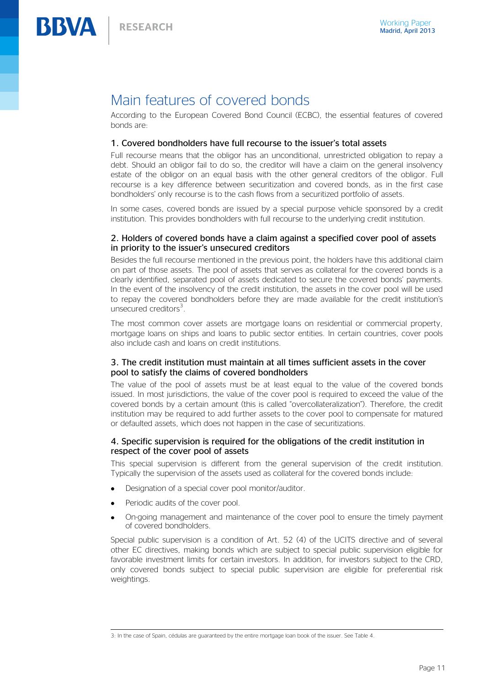### Main features of covered bonds

According to the European Covered Bond Council (ECBC), the essential features of covered bonds are:

#### 1. Covered bondholders have full recourse to the issuer's total assets

Full recourse means that the obligor has an unconditional, unrestricted obligation to repay a debt. Should an obligor fail to do so, the creditor will have a claim on the general insolvency estate of the obligor on an equal basis with the other general creditors of the obligor. Full recourse is a key difference between securitization and covered bonds, as in the first case bondholders' only recourse is to the cash flows from a securitized portfolio of assets.

In some cases, covered bonds are issued by a special purpose vehicle sponsored by a credit institution. This provides bondholders with full recourse to the underlying credit institution.

#### 2. Holders of covered bonds have a claim against a specified cover pool of assets in priority to the issuer's unsecured creditors

Besides the full recourse mentioned in the previous point, the holders have this additional claim on part of those assets. The pool of assets that serves as collateral for the covered bonds is a clearly identified, separated pool of assets dedicated to secure the covered bonds' payments. In the event of the insolvency of the credit institution, the assets in the cover pool will be used to repay the covered bondholders before they are made available for the credit institution's unsecured creditors<sup>3</sup>.

The most common cover assets are mortgage loans on residential or commercial property, mortgage loans on ships and loans to public sector entities. In certain countries, cover pools also include cash and loans on credit institutions.

#### 3. The credit institution must maintain at all times sufficient assets in the cover pool to satisfy the claims of covered bondholders

The value of the pool of assets must be at least equal to the value of the covered bonds issued. In most jurisdictions, the value of the cover pool is required to exceed the value of the covered bonds by a certain amount (this is called "overcollateralization"). Therefore, the credit institution may be required to add further assets to the cover pool to compensate for matured or defaulted assets, which does not happen in the case of securitizations.

#### 4. Specific supervision is required for the obligations of the credit institution in respect of the cover pool of assets

This special supervision is different from the general supervision of the credit institution. Typically the supervision of the assets used as collateral for the covered bonds include:

- Designation of a special cover pool monitor/auditor.
- Periodic audits of the cover pool.
- On-going management and maintenance of the cover pool to ensure the timely payment of covered bondholders.

Special public supervision is a condition of Art. 52 (4) of the UCITS directive and of several other EC directives, making bonds which are subject to special public supervision eligible for favorable investment limits for certain investors. In addition, for investors subject to the CRD, only covered bonds subject to special public supervision are eligible for preferential risk weightings.

<sup>-</sup>3: In the case of Spain, cédulas are guaranteed by the entire mortgage loan book of the issuer. See Table 4.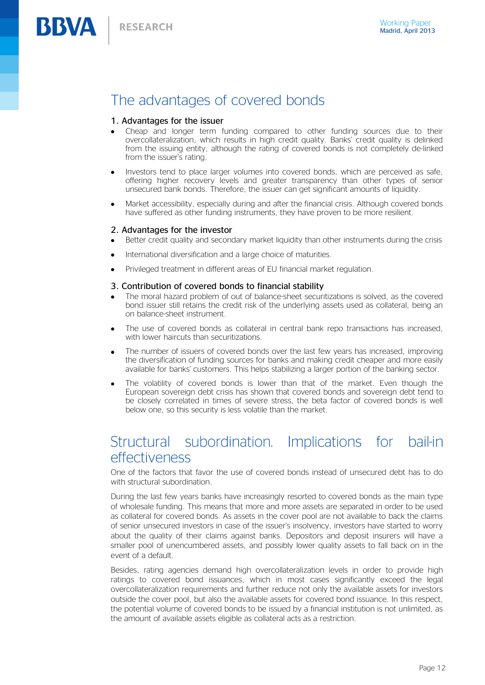### The advantages of covered bonds

#### 1. Advantages for the issuer

- Cheap and longer term funding compared to other funding sources due to their overcollateralization, which results in high credit quality. Banks' credit quality is delinked from the issuing entity, although the rating of covered bonds is not completely de-linked from the issuer's rating.
- Investors tend to place larger volumes into covered bonds, which are perceived as safe, offering higher recovery levels and greater transparency than other types of senior unsecured bank bonds. Therefore, the issuer can get significant amounts of liquidity.
- Market accessibility, especially during and after the financial crisis. Although covered bonds have suffered as other funding instruments, they have proven to be more resilient.

#### 2. Advantages for the investor

- Better credit quality and secondary market liquidity than other instruments during the crisis
- $\bullet$ International diversification and a large choice of maturities.
- Privileged treatment in different areas of EU financial market regulation.

#### 3. Contribution of covered bonds to financial stability

- The moral hazard problem of out of balance-sheet securitizations is solved, as the covered bond issuer still retains the credit risk of the underlying assets used as collateral, being an on balance-sheet instrument.
- The use of covered bonds as collateral in central bank repo transactions has increased, with lower haircuts than securitizations.
- The number of issuers of covered bonds over the last few years has increased, improving the diversification of funding sources for banks and making credit cheaper and more easily available for banks' customers. This helps stabilizing a larger portion of the banking sector.
- The volatility of covered bonds is lower than that of the market. Even though the European sovereign debt crisis has shown that covered bonds and sovereign debt tend to be closely correlated in times of severe stress, the beta factor of covered bonds is well below one, so this security is less volatile than the market.

### Structural subordination. Implications for bail-in effectiveness

One of the factors that favor the use of covered bonds instead of unsecured debt has to do with structural subordination.

During the last few years banks have increasingly resorted to covered bonds as the main type of wholesale funding. This means that more and more assets are separated in order to be used as collateral for covered bonds. As assets in the cover pool are not available to back the claims of senior unsecured investors in case of the issuer's insolvency, investors have started to worry about the quality of their claims against banks. Depositors and deposit insurers will have a smaller pool of unencumbered assets, and possibly lower quality assets to fall back on in the event of a default.

Besides, rating agencies demand high overcollateralization levels in order to provide high ratings to covered bond issuances, which in most cases significantly exceed the legal overcollateralization requirements and further reduce not only the available assets for investors outside the cover pool, but also the available assets for covered bond issuance. In this respect, the potential volume of covered bonds to be issued by a financial institution is not unlimited, as the amount of available assets eligible as collateral acts as a restriction.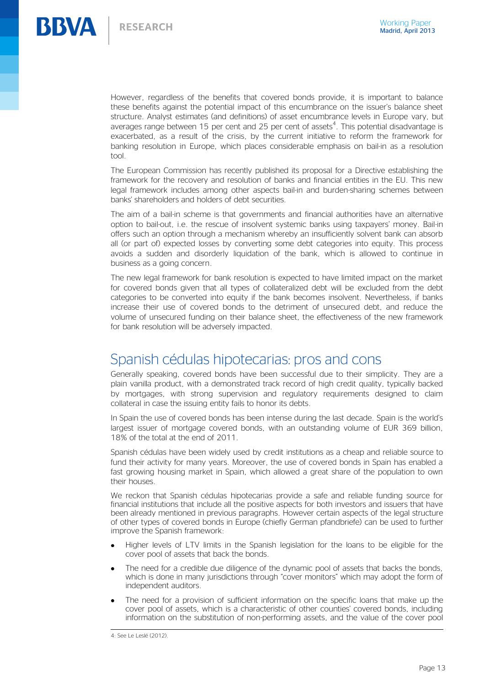

However, regardless of the benefits that covered bonds provide, it is important to balance these benefits against the potential impact of this encumbrance on the issuer's balance sheet structure. Analyst estimates (and definitions) of asset encumbrance levels in Europe vary, but averages range between 15 per cent and 25 per cent of assets<sup>4</sup>. This potential disadvantage is exacerbated, as a result of the crisis, by the current initiative to reform the framework for banking resolution in Europe, which places considerable emphasis on bail-in as a resolution tool.

The European Commission has recently published its proposal for a Directive establishing the framework for the recovery and resolution of banks and financial entities in the EU. This new legal framework includes among other aspects bail-in and burden-sharing schemes between banks' shareholders and holders of debt securities.

The aim of a bail-in scheme is that governments and financial authorities have an alternative option to bail-out, i.e. the rescue of insolvent systemic banks using taxpayers' money. Bail-in offers such an option through a mechanism whereby an insufficiently solvent bank can absorb all (or part of) expected losses by converting some debt categories into equity. This process avoids a sudden and disorderly liquidation of the bank, which is allowed to continue in business as a going concern.

The new legal framework for bank resolution is expected to have limited impact on the market for covered bonds given that all types of collateralized debt will be excluded from the debt categories to be converted into equity if the bank becomes insolvent. Nevertheless, if banks increase their use of covered bonds to the detriment of unsecured debt, and reduce the volume of unsecured funding on their balance sheet, the effectiveness of the new framework for bank resolution will be adversely impacted.

### Spanish cédulas hipotecarias: pros and cons

Generally speaking, covered bonds have been successful due to their simplicity. They are a plain vanilla product, with a demonstrated track record of high credit quality, typically backed by mortgages, with strong supervision and regulatory requirements designed to claim collateral in case the issuing entity fails to honor its debts.

In Spain the use of covered bonds has been intense during the last decade. Spain is the world's largest issuer of mortgage covered bonds, with an outstanding volume of EUR 369 billion, 18% of the total at the end of 2011.

Spanish cédulas have been widely used by credit institutions as a cheap and reliable source to fund their activity for many years. Moreover, the use of covered bonds in Spain has enabled a fast growing housing market in Spain, which allowed a great share of the population to own their houses.

We reckon that Spanish cédulas hipotecarias provide a safe and reliable funding source for financial institutions that include all the positive aspects for both investors and issuers that have been already mentioned in previous paragraphs. However certain aspects of the legal structure of other types of covered bonds in Europe (chiefly German pfandbriefe) can be used to further improve the Spanish framework:

- Higher levels of LTV limits in the Spanish legislation for the loans to be eligible for the cover pool of assets that back the bonds.
- The need for a credible due diligence of the dynamic pool of assets that backs the bonds, which is done in many jurisdictions through "cover monitors" which may adopt the form of independent auditors.
- The need for a provision of sufficient information on the specific loans that make up the cover pool of assets, which is a characteristic of other counties' covered bonds, including information on the substitution of non-performing assets, and the value of the cover pool

 4: See Le Leslé (2012).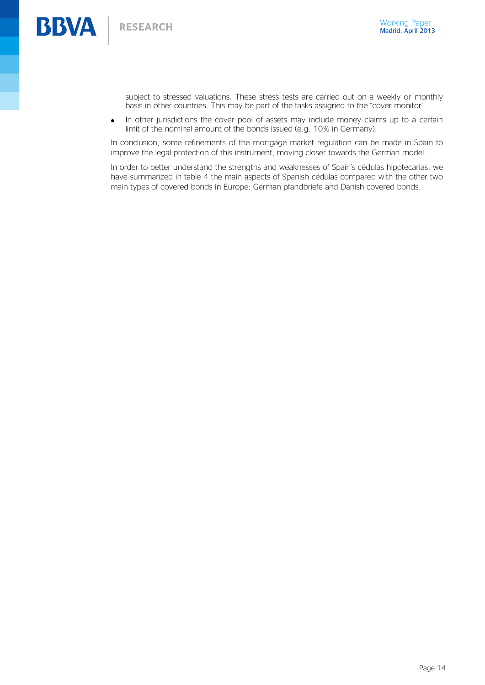subject to stressed valuations. These stress tests are carried out on a weekly or monthly basis in other countries. This may be part of the tasks assigned to the "cover monitor".

In other jurisdictions the cover pool of assets may include money claims up to a certain  $\bullet$ limit of the nominal amount of the bonds issued (e.g. 10% in Germany).

In conclusion, some refinements of the mortgage market regulation can be made in Spain to improve the legal protection of this instrument, moving closer towards the German model.

In order to better understand the strengths and weaknesses of Spain's cédulas hipotecarias, we have summarized in table 4 the main aspects of Spanish cédulas compared with the other two main types of covered bonds in Europe: German pfandbriefe and Danish covered bonds.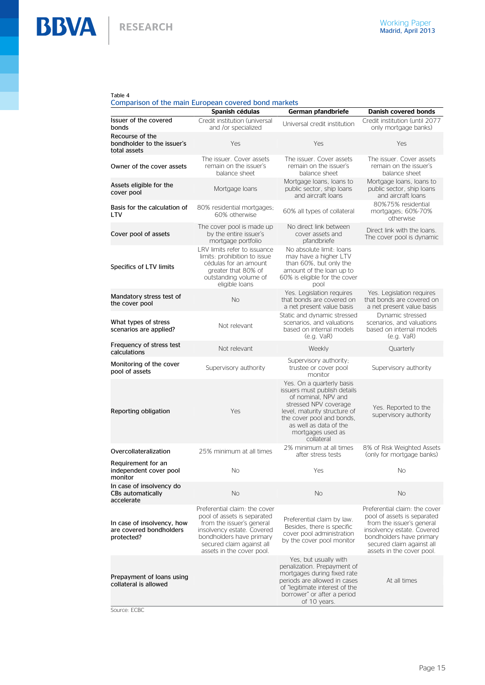**BBVA** | RESEARCH

#### Table 4

#### Comparison of the main European covered bond markets

|                                                                     | Spanish cédulas                                                                                                                                                                                               | German pfandbriefe                                                                                                                                                                                                                  | Danish covered bonds                                                                                                                                                                                          |
|---------------------------------------------------------------------|---------------------------------------------------------------------------------------------------------------------------------------------------------------------------------------------------------------|-------------------------------------------------------------------------------------------------------------------------------------------------------------------------------------------------------------------------------------|---------------------------------------------------------------------------------------------------------------------------------------------------------------------------------------------------------------|
| Issuer of the covered<br>bonds                                      | Credit institution (universal<br>and /or specialized                                                                                                                                                          | Universal credit institution                                                                                                                                                                                                        | Credit institution (until 2077<br>only mortgage banks)                                                                                                                                                        |
| Recourse of the<br>bondholder to the issuer's<br>total assets       | Yes                                                                                                                                                                                                           | Yes                                                                                                                                                                                                                                 | Yes                                                                                                                                                                                                           |
| Owner of the cover assets                                           | The issuer. Cover assets<br>remain on the issuer's<br>balance sheet                                                                                                                                           | The issuer. Cover assets<br>remain on the issuer's<br>balance sheet                                                                                                                                                                 | The issuer. Cover assets<br>remain on the issuer's<br>balance sheet                                                                                                                                           |
| Assets eligible for the<br>cover pool                               | Mortgage Ioans                                                                                                                                                                                                | Mortgage Ioans, Ioans to<br>public sector, ship loans<br>and aircraft loans                                                                                                                                                         | Mortgage Ioans, Ioans to<br>public sector, ship loans<br>and aircraft loans                                                                                                                                   |
| Basis for the calculation of<br>LTV                                 | 80% residential mortgages;<br>60% otherwise                                                                                                                                                                   | 60% all types of collateral                                                                                                                                                                                                         | 80%75% residential<br>mortgages; 60%-70%<br>otherwise                                                                                                                                                         |
| Cover pool of assets                                                | The cover pool is made up<br>by the entire issuer's<br>mortgage portfolio                                                                                                                                     | No direct link between<br>cover assets and<br>pfandbriefe                                                                                                                                                                           | Direct link with the loans.<br>The cover pool is dynamic                                                                                                                                                      |
| Specifics of LTV limits                                             | LRV limits refer to issuance<br>limits: prohibition to issue<br>cédulas for an amount<br>greater that 80% of<br>outstanding volume of<br>eligible loans                                                       | No absolute limit: Ioans<br>may have a higher LTV<br>than 60%, but only the<br>amount of the loan up to<br>60% is eligible for the cover<br>pool                                                                                    |                                                                                                                                                                                                               |
| Mandatory stress test of<br>the cover pool                          | No                                                                                                                                                                                                            | Yes. Legislation requires<br>that bonds are covered on<br>a net present value basis                                                                                                                                                 | Yes. Legislation requires<br>that bonds are covered on<br>a net present value basis                                                                                                                           |
| What types of stress<br>scenarios are applied?                      | Not relevant                                                                                                                                                                                                  | Static and dynamic stressed<br>scenarios, and valuations<br>based on internal models<br>(e.g. VaR)                                                                                                                                  | Dynamic stressed<br>scenarios, and valuations<br>based on internal models<br>(e.g. VaR)                                                                                                                       |
| Frequency of stress test<br>calculations                            | Not relevant                                                                                                                                                                                                  | Weekly                                                                                                                                                                                                                              | Quarterly                                                                                                                                                                                                     |
| Monitoring of the cover<br>pool of assets                           | Supervisory authority                                                                                                                                                                                         | Supervisory authority;<br>trustee or cover pool<br>monitor                                                                                                                                                                          | Supervisory authority                                                                                                                                                                                         |
| Reporting obligation                                                | Yes                                                                                                                                                                                                           | Yes. On a quarterly basis<br>issuers must publish details<br>of nominal, NPV and<br>stressed NPV coverage<br>level, maturity structure of<br>the cover pool and bonds,<br>as well as data of the<br>mortgages used as<br>collateral | Yes. Reported to the<br>supervisory authority                                                                                                                                                                 |
| Overcollateralization                                               | 25% minimum at all times                                                                                                                                                                                      | 2% minimum at all times<br>after stress tests                                                                                                                                                                                       | 8% of Risk Weighted Assets<br>(only for mortgage banks)                                                                                                                                                       |
| Requirement for an<br>independent cover pool<br>monitor             | No                                                                                                                                                                                                            | Yes                                                                                                                                                                                                                                 | No                                                                                                                                                                                                            |
| In case of insolvency do<br>CBs automatically<br>accelerate         | <b>No</b>                                                                                                                                                                                                     | <b>No</b>                                                                                                                                                                                                                           | <b>No</b>                                                                                                                                                                                                     |
| In case of insolvency, how<br>are covered bondholders<br>protected? | Preferential claim: the cover<br>pool of assets is separated<br>from the issuer's general<br>insolvency estate. Covered<br>bondholders have primary<br>secured claim against all<br>assets in the cover pool. | Preferential claim by law.<br>Besides, there is specific<br>cover pool administration<br>by the cover pool monitor                                                                                                                  | Preferential claim: the cover<br>pool of assets is separated<br>from the issuer's general<br>insolvency estate. Covered<br>bondholders have primary<br>secured claim against all<br>assets in the cover pool. |
| Prepayment of loans using<br>collateral is allowed<br><b>CCDC</b>   |                                                                                                                                                                                                               | Yes, but usually with<br>penalization. Prepayment of<br>mortgages during fixed rate<br>periods are allowed in cases<br>of "legitimate interest of the<br>borrower" or after a period<br>of 10 years.                                | At all times                                                                                                                                                                                                  |

Source: ECBC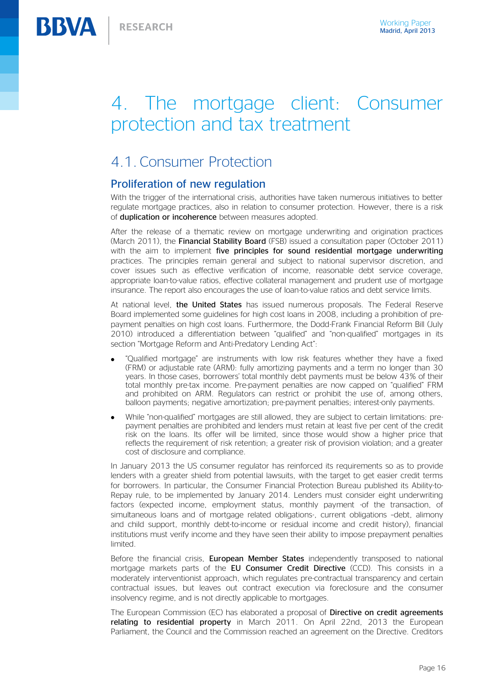# 4. The mortgage client: Consumer protection and tax treatment

### 4.1. Consumer Protection

#### Proliferation of new regulation

With the trigger of the international crisis, authorities have taken numerous initiatives to better regulate mortgage practices, also in relation to consumer protection. However, there is a risk of duplication or incoherence between measures adopted.

After the release of a thematic review on mortgage underwriting and origination practices (March 2011), the Financial Stability Board (FSB) issued a consultation paper (October 2011) with the aim to implement five principles for sound residential mortgage underwriting practices. The principles remain general and subject to national supervisor discretion, and cover issues such as effective verification of income, reasonable debt service coverage, appropriate loan-to-value ratios, effective collateral management and prudent use of mortgage insurance. The report also encourages the use of loan-to-value ratios and debt service limits.

At national level, the United States has issued numerous proposals. The Federal Reserve Board implemented some guidelines for high cost loans in 2008, including a prohibition of prepayment penalties on high cost loans. Furthermore, the Dodd-Frank Financial Reform Bill (July 2010) introduced a differentiation between "qualified" and "non-qualified" mortgages in its section "Mortgage Reform and Anti-Predatory Lending Act":

- "Qualified mortgage" are instruments with low risk features whether they have a fixed (FRM) or adjustable rate (ARM): fully amortizing payments and a term no longer than 30 years. In those cases, borrowers' total monthly debt payments must be below 43% of their total monthly pre-tax income. Pre-payment penalties are now capped on "qualified" FRM and prohibited on ARM. Regulators can restrict or prohibit the use of, among others, balloon payments; negative amortization; pre-payment penalties; interest-only payments.
- While "non-qualified" mortgages are still allowed, they are subject to certain limitations: prepayment penalties are prohibited and lenders must retain at least five per cent of the credit risk on the loans. Its offer will be limited, since those would show a higher price that reflects the requirement of risk retention; a greater risk of provision violation; and a greater cost of disclosure and compliance.

In January 2013 the US consumer regulator has reinforced its requirements so as to provide lenders with a greater shield from potential lawsuits, with the target to get easier credit terms for borrowers. In particular, the Consumer Financial Protection Bureau published its Ability-to-Repay rule, to be implemented by January 2014. Lenders must consider eight underwriting factors (expected income, employment status, monthly payment -of the transaction, of simultaneous loans and of mortgage related obligations-, current obligations –debt, alimony and child support, monthly debt-to-income or residual income and credit history), financial institutions must verify income and they have seen their ability to impose prepayment penalties limited.

Before the financial crisis. **European Member States** independently transposed to national mortgage markets parts of the EU Consumer Credit Directive (CCD). This consists in a moderately interventionist approach, which regulates pre-contractual transparency and certain contractual issues, but leaves out contract execution via foreclosure and the consumer insolvency regime, and is not directly applicable to mortgages.

The European Commission (EC) has elaborated a proposal of Directive on credit agreements relating to residential property in March 2011. On April 22nd, 2013 the European Parliament, the Council and the Commission reached an agreement on the Directive. Creditors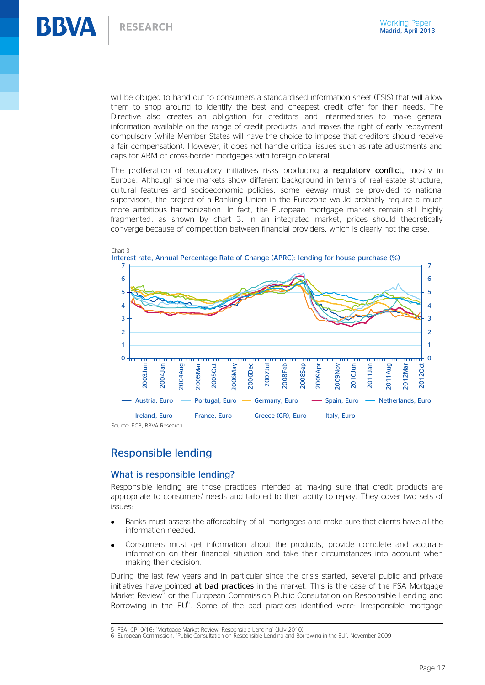

will be obliged to hand out to consumers a standardised information sheet (ESIS) that will allow them to shop around to identify the best and cheapest credit offer for their needs. The Directive also creates an obligation for creditors and intermediaries to make general information available on the range of credit products, and makes the right of early repayment compulsory (while Member States will have the choice to impose that creditors should receive a fair compensation). However, it does not handle critical issues such as rate adjustments and caps for ARM or cross-border mortgages with foreign collateral.

The proliferation of regulatory initiatives risks producing a regulatory conflict, mostly in Europe. Although since markets show different background in terms of real estate structure, cultural features and socioeconomic policies, some leeway must be provided to national supervisors, the project of a Banking Union in the Eurozone would probably require a much more ambitious harmonization. In fact, the European mortgage markets remain still highly fragmented, as shown by chart 3. In an integrated market, prices should theoretically converge because of competition between financial providers, which is clearly not the case.



-

#### Responsible lending

#### What is responsible lending?

Responsible lending are those practices intended at making sure that credit products are appropriate to consumers' needs and tailored to their ability to repay. They cover two sets of issues:

- Banks must assess the affordability of all mortgages and make sure that clients have all the information needed.
- Consumers must get information about the products, provide complete and accurate information on their financial situation and take their circumstances into account when making their decision.

During the last few years and in particular since the crisis started, several public and private initiatives have pointed at bad practices in the market. This is the case of the FSA Mortgage Market Review<sup>5</sup> or the European Commission Public Consultation on Responsible Lending and Borrowing in the  $EU^6$ . Some of the bad practices identified were: Irresponsible mortgage

<sup>5</sup>: FSA, CP10/16: "Mortgage Market Review: Responsible Lending" (July 2010)

<sup>6</sup>: European Commission, "Public Consultation on Responsible Lending and Borrowing in the EU", November 2009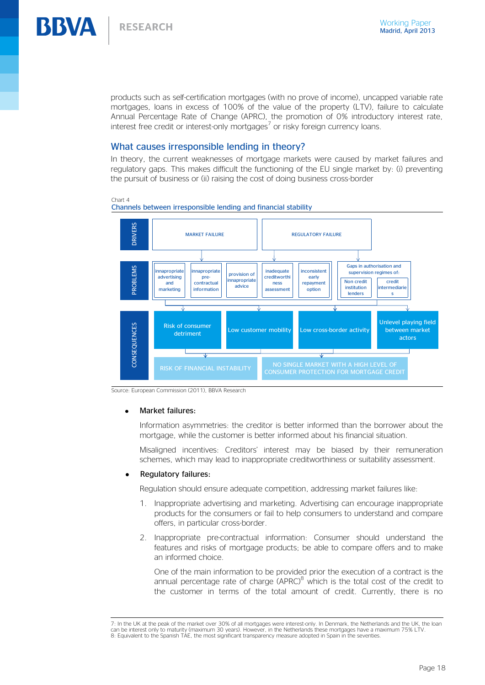

products such as self-certification mortgages (with no prove of income), uncapped variable rate mortgages, loans in excess of 100% of the value of the property (LTV), failure to calculate Annual Percentage Rate of Change (APRC), the promotion of 0% introductory interest rate, interest free credit or interest-only mortgages<sup>7</sup> or risky foreign currency loans.

#### What causes irresponsible lending in theory?

In theory, the current weaknesses of mortgage markets were caused by market failures and regulatory gaps. This makes difficult the functioning of the EU single market by: (i) preventing the pursuit of business or (ii) raising the cost of doing business cross-border



Chart 4 Channels between irresponsible lending and financial stability

Source: European Commission (2011), BBVA Research

#### Market failures:

Information asymmetries: the creditor is better informed than the borrower about the mortgage, while the customer is better informed about his financial situation.

Misaligned incentives: Creditors' interest may be biased by their remuneration schemes, which may lead to inappropriate creditworthiness or suitability assessment.

#### Regulatory failures:

-

Regulation should ensure adequate competition, addressing market failures like:

- 1. Inappropriate advertising and marketing. Advertising can encourage inappropriate products for the consumers or fail to help consumers to understand and compare offers, in particular cross-border.
- 2. Inappropriate pre-contractual information: Consumer should understand the features and risks of mortgage products; be able to compare offers and to make an informed choice.

One of the main information to be provided prior the execution of a contract is the annual percentage rate of charge (APRC) $8$  which is the total cost of the credit to the customer in terms of the total amount of credit. Currently, there is no

<sup>7:</sup> In the UK at the peak of the market over 30% of all mortgages were interest-only. In Denmark, the Netherlands and the UK, the loan can be interest only to maturity (maximum 30 years). However, in the Netherlands these mortgages have a maximum 75% LTV. 8: Equivalent to the Spanish TAE, the most significant transparency measure adopted in Spain in the seventies.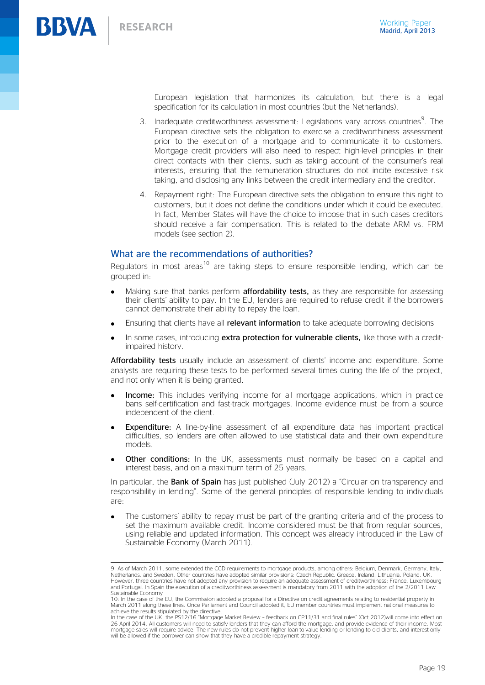-

European legislation that harmonizes its calculation, but there is a legal specification for its calculation in most countries (but the Netherlands).

- 3. Inadequate creditworthiness assessment: Legislations vary across countries<sup>9</sup>. The European directive sets the obligation to exercise a creditworthiness assessment prior to the execution of a mortgage and to communicate it to customers. Mortgage credit providers will also need to respect high-level principles in their direct contacts with their clients, such as taking account of the consumer's real interests, ensuring that the remuneration structures do not incite excessive risk taking, and disclosing any links between the credit intermediary and the creditor.
- 4. Repayment right: The European directive sets the obligation to ensure this right to customers, but it does not define the conditions under which it could be executed. In fact, Member States will have the choice to impose that in such cases creditors should receive a fair compensation. This is related to the debate ARM vs. FRM models (see section 2).

#### What are the recommendations of authorities?

Regulators in most areas<sup>10</sup> are taking steps to ensure responsible lending, which can be grouped in:

- Making sure that banks perform **affordability tests**, as they are responsible for assessing their clients' ability to pay. In the EU, lenders are required to refuse credit if the borrowers cannot demonstrate their ability to repay the loan.
- Ensuring that clients have all relevant information to take adequate borrowing decisions
- In some cases, introducing extra protection for vulnerable clients, like those with a creditimpaired history.

Affordability tests usually include an assessment of clients' income and expenditure. Some analysts are requiring these tests to be performed several times during the life of the project, and not only when it is being granted.

- Income: This includes verifying income for all mortgage applications, which in practice bans self-certification and fast-track mortgages. Income evidence must be from a source independent of the client.
- Expenditure: A line-by-line assessment of all expenditure data has important practical difficulties, so lenders are often allowed to use statistical data and their own expenditure models.
- Other conditions: In the UK, assessments must normally be based on a capital and interest basis, and on a maximum term of 25 years.

In particular, the **Bank of Spain** has just published (July 2012) a "Circular on transparency and responsibility in lending". Some of the general principles of responsible lending to individuals are:

The customers' ability to repay must be part of the granting criteria and of the process to set the maximum available credit. Income considered must be that from regular sources, using reliable and updated information. This concept was already introduced in the Law of Sustainable Economy (March 2011).

<sup>9:</sup> As of March 2011, some extended the CCD requirements to mortgage products, among others: Belgium, Denmark, Germany, Italy, Netherlands, and Sweden. Other countries have adopted similar provisions: Czech Republic, Greece, Ireland, Lithuania, Poland, UK. However, three countries have not adopted any provision to require an adequate assessment of creditworthiness: France, Luxembourg and Portugal. In Spain the execution of a creditworthiness assessment is mandatory from 2011 with the adoption of the 2/2011 Law Sustainable Economy

<sup>10:</sup> In the case of the EU, the Commission adopted a proposal for a Directive on credit agreements relating to residential property in March 2011 along these lines. Once Parliament and Council adopted it, EU member countries must implement national measures to achieve the results stipulated by the directive.

In the case of the UK, the PS12/16 "Mortgage Market Review – feedback on CP11/31 and final rules" (Oct 2012)will come into effect on 26 April 2014. All customers will need to satisfy lenders that they can afford the mortgage, and provide evidence of their income. Most mortgage sales will require advice. The new rules do not prevent higher loan-to-value lending or lending to old clients, and interest-only will be allowed if the borrower can show that they have a credible repayment strategy.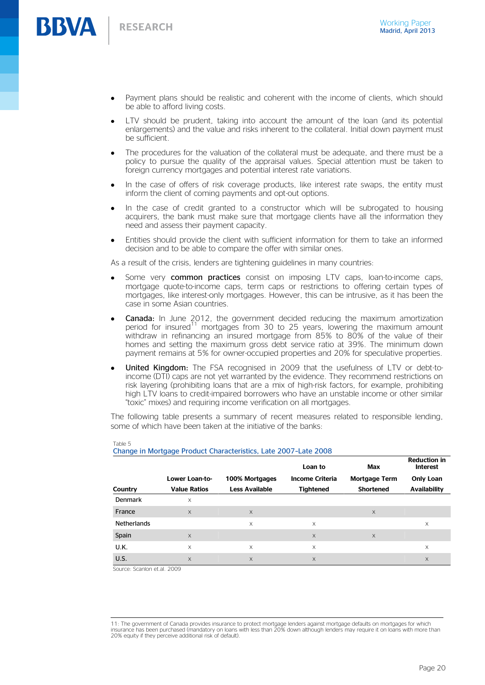**BBVA** 

- Payment plans should be realistic and coherent with the income of clients, which should be able to afford living costs.
- LTV should be prudent, taking into account the amount of the loan (and its potential enlargements) and the value and risks inherent to the collateral. Initial down payment must be sufficient.
- The procedures for the valuation of the collateral must be adequate, and there must be a policy to pursue the quality of the appraisal values. Special attention must be taken to foreign currency mortgages and potential interest rate variations.
- In the case of offers of risk coverage products, like interest rate swaps, the entity must inform the client of coming payments and opt-out options.
- In the case of credit granted to a constructor which will be subrogated to housing acquirers, the bank must make sure that mortgage clients have all the information they need and assess their payment capacity.
- Entities should provide the client with sufficient information for them to take an informed decision and to be able to compare the offer with similar ones.

As a result of the crisis, lenders are tightening guidelines in many countries:

- Some very **common practices** consist on imposing LTV caps, loan-to-income caps, mortgage quote-to-income caps, term caps or restrictions to offering certain types of mortgages, like interest-only mortgages. However, this can be intrusive, as it has been the case in some Asian countries.
- Canada: In June 2012, the government decided reducing the maximum amortization period for insured<sup>11</sup> mortgages from 30 to 25 years, lowering the maximum amount withdraw in refinancing an insured mortgage from 85% to 80% of the value of their homes and setting the maximum gross debt service ratio at 39%. The minimum down payment remains at 5% for owner-occupied properties and 20% for speculative properties.
- United Kingdom: The FSA recognised in 2009 that the usefulness of LTV or debt-toincome (DTI) caps are not yet warranted by the evidence. They recommend restrictions on risk layering (prohibiting loans that are a mix of high-risk factors, for example, prohibiting high LTV loans to credit-impaired borrowers who have an unstable income or other similar "toxic" mixes) and requiring income verification on all mortgages.

The following table presents a summary of recent measures related to responsible lending, some of which have been taken at the initiative of the banks:

|                    |                     |                       | Loan to                | Max              | <b>Reduction in</b><br><b>Interest</b> |
|--------------------|---------------------|-----------------------|------------------------|------------------|----------------------------------------|
|                    | Lower Loan-to-      | 100% Mortgages        | <b>Income Criteria</b> | Mortgage Term    | <b>Only Loan</b>                       |
| Country            | <b>Value Ratios</b> | <b>Less Available</b> | <b>Tightened</b>       | <b>Shortened</b> | <b>Availability</b>                    |
| Denmark            | X                   |                       |                        |                  |                                        |
| France             | X                   | $\times$              |                        | $\times$         |                                        |
| <b>Netherlands</b> |                     | $\times$              | X                      |                  | $\times$                               |
| Spain              | X                   |                       | X                      | $\times$         |                                        |
| U.K.               | $\times$            | X                     | X                      |                  | $\times$                               |
| U.S.               | $\times$            | $\times$              | X                      |                  | $\times$                               |

Table 5 Change in Mortgage Product Characteristics, Late 2007–Late 2008

Source: Scanlon et.al. 2009

-

<sup>11:</sup> The government of Canada provides insurance to protect mortgage lenders against mortgage defaults on mortgages for which insurance has been purchased (mandatory on loans with less than 20% down although lenders may require it on loans with more than 20% equity if they perceive additional risk of default).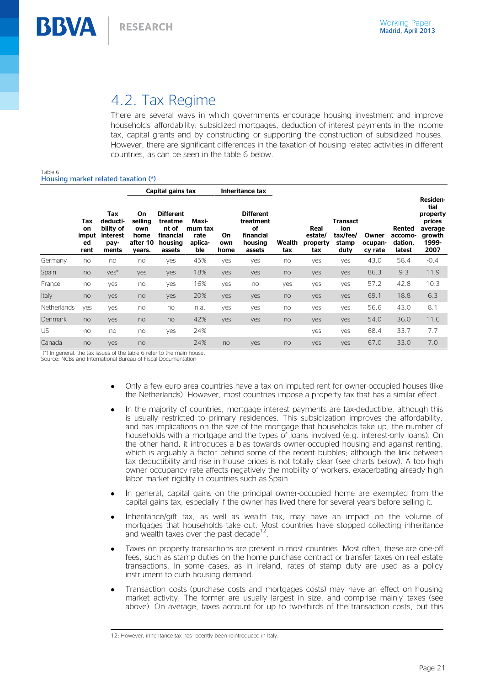# 4.2. Tax Regime

There are several ways in which governments encourage housing investment and improve households' affordability: subsidized mortgages, deduction of interest payments in the income tax, capital grants and by constructing or supporting the construction of subsidized houses. However, there are significant differences in the taxation of housing-related activities in different countries, as can be seen in the table 6 below.

#### Table 6 Housing market related taxation (\*)

**BBVA** 

|                    |                                  |                                                           | Capital gains tax                                   |                                                                        | Inheritance tax                            |                   |                                                                       |               |                                    |                                                     |                             |                                        |                                                                              |
|--------------------|----------------------------------|-----------------------------------------------------------|-----------------------------------------------------|------------------------------------------------------------------------|--------------------------------------------|-------------------|-----------------------------------------------------------------------|---------------|------------------------------------|-----------------------------------------------------|-----------------------------|----------------------------------------|------------------------------------------------------------------------------|
|                    | Tax<br>on<br>imput<br>ed<br>rent | Tax<br>deducti-<br>bility of<br>interest<br>pay-<br>ments | On.<br>selling<br>own<br>home<br>after 10<br>years. | <b>Different</b><br>treatme<br>nt of<br>financial<br>housing<br>assets | Maxi-<br>mum tax<br>rate<br>aplica-<br>ble | On<br>own<br>home | <b>Different</b><br>treatment<br>οf<br>financial<br>housing<br>assets | Wealth<br>tax | Real<br>estate/<br>property<br>tax | <b>Transact</b><br>ion<br>tax/fee/<br>stamp<br>duty | Owner<br>ocupan-<br>cy rate | Rented<br>accomo-<br>dation.<br>latest | Residen-<br>tial<br>property<br>prices<br>average<br>growth<br>1999-<br>2007 |
| Germany            | no                               | no                                                        | no                                                  | yes                                                                    | 45%                                        | yes               | yes                                                                   | no            | yes                                | yes                                                 | 43.0                        | 58.4                                   | $-0.4$                                                                       |
| Spain              | no                               | yes*                                                      | yes                                                 | yes                                                                    | 18%                                        | yes               | yes                                                                   | no            | yes                                | yes                                                 | 86.3                        | 9.3                                    | 11.9                                                                         |
| France             | no                               | yes                                                       | no                                                  | yes                                                                    | 16%                                        | yes               | no                                                                    | yes           | yes                                | yes                                                 | 57.2                        | 42.8                                   | 10.3                                                                         |
| Italy              | no                               | yes                                                       | no                                                  | yes                                                                    | 20%                                        | yes               | yes                                                                   | no            | yes                                | yes                                                 | 69.1                        | 18.8                                   | 6.3                                                                          |
| <b>Netherlands</b> | yes                              | yes                                                       | no                                                  | no                                                                     | n.a.                                       | yes               | yes                                                                   | no            | yes                                | yes                                                 | 56.6                        | 43.0                                   | 8.1                                                                          |
| Denmark            | no                               | yes                                                       | no                                                  | no                                                                     | 42%                                        | yes               | yes                                                                   | no            | yes                                | yes                                                 | 54.0                        | 36.0                                   | 11.6                                                                         |
| US                 | no                               | no                                                        | no                                                  | yes                                                                    | 24%                                        |                   |                                                                       |               | yes                                | yes                                                 | 68.4                        | 33.7                                   | 7.7                                                                          |
| Canada             | no                               | yes                                                       | no                                                  |                                                                        | 24%                                        | no                | yes                                                                   | no            | yes                                | yes                                                 | 67.0                        | 33.0                                   | 7.0                                                                          |

(\*) In general, the tax issues of the table 6 refer to the main house.

Source: NCBs and International Bureau of Fiscal Documentation

- Only a few euro area countries have a tax on imputed rent for owner-occupied houses (like the Netherlands). However, most countries impose a property tax that has a similar effect.
- In the majority of countries, mortgage interest payments are tax-deductible, although this is usually restricted to primary residences. This subsidization improves the affordability, and has implications on the size of the mortgage that households take up, the number of households with a mortgage and the types of loans involved (e.g. interest-only loans). On the other hand, it introduces a bias towards owner-occupied housing and against renting, which is arguably a factor behind some of the recent bubbles; although the link between tax deductibility and rise in house prices is not totally clear (see charts below). A too high owner occupancy rate affects negatively the mobility of workers, exacerbating already high labor market rigidity in countries such as Spain.
- In general, capital gains on the principal owner-occupied home are exempted from the capital gains tax, especially if the owner has lived there for several years before selling it.
- Inheritance/gift tax, as well as wealth tax, may have an impact on the volume of mortgages that households take out. Most countries have stopped collecting inheritance and wealth taxes over the past decade .
- Taxes on property transactions are present in most countries. Most often, these are one-off fees, such as stamp duties on the home purchase contract or transfer taxes on real estate transactions. In some cases, as in Ireland, rates of stamp duty are used as a policy instrument to curb housing demand.
- Transaction costs (purchase costs and mortgages costs) may have an effect on housing market activity. The former are usually largest in size, and comprise mainly taxes (see above). On average, taxes account for up to two-thirds of the transaction costs, but this

<sup>-</sup>12: However, inheritance tax has recently been reintroduced in Italy.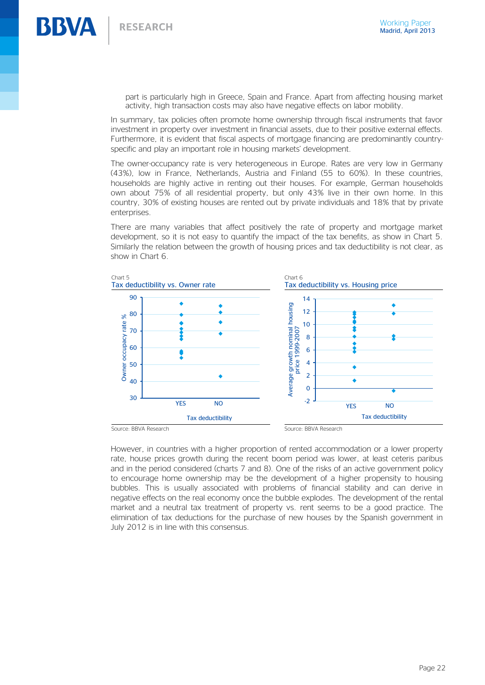part is particularly high in Greece, Spain and France. Apart from affecting housing market activity, high transaction costs may also have negative effects on labor mobility.

In summary, tax policies often promote home ownership through fiscal instruments that favor investment in property over investment in financial assets, due to their positive external effects. Furthermore, it is evident that fiscal aspects of mortgage financing are predominantly countryspecific and play an important role in housing markets' development.

The owner-occupancy rate is very heterogeneous in Europe. Rates are very low in Germany (43%), low in France, Netherlands, Austria and Finland (55 to 60%). In these countries, households are highly active in renting out their houses. For example, German households own about 75% of all residential property, but only 43% live in their own home. In this country, 30% of existing houses are rented out by private individuals and 18% that by private enterprises.

There are many variables that affect positively the rate of property and mortgage market development, so it is not easy to quantify the impact of the tax benefits, as show in Chart 5. Similarly the relation between the growth of housing prices and tax deductibility is not clear, as show in Chart 6.



However, in countries with a higher proportion of rented accommodation or a lower property rate, house prices growth during the recent boom period was lower, at least ceteris paribus and in the period considered (charts 7 and 8). One of the risks of an active government policy to encourage home ownership may be the development of a higher propensity to housing bubbles. This is usually associated with problems of financial stability and can derive in negative effects on the real economy once the bubble explodes. The development of the rental market and a neutral tax treatment of property vs. rent seems to be a good practice. The elimination of tax deductions for the purchase of new houses by the Spanish government in July 2012 is in line with this consensus.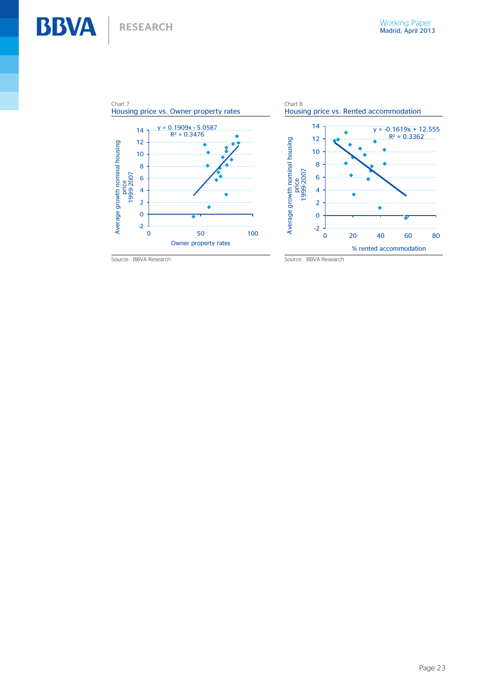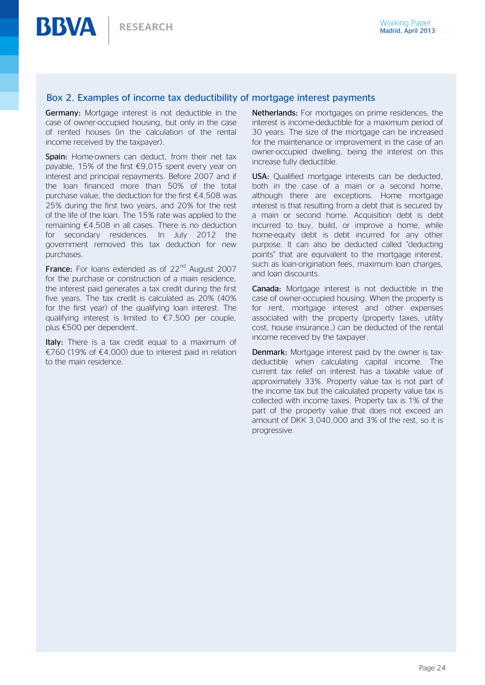#### Box 2. Examples of income tax deductibility of mortgage interest payments

Germany: Mortgage interest is not deductible in the case of owner-occupied housing, but only in the case of rented houses (in the calculation of the rental income received by the taxpayer).

Spain: Home-owners can deduct, from their net tax payable, 15% of the first €9,015 spent every year on interest and principal repayments. Before 2007 and if the loan financed more than 50% of the total purchase value, the deduction for the first  $\epsilon$ 4,508 was 25% during the first two years, and 20% for the rest of the life of the loan. The 15% rate was applied to the remaining €4,508 in all cases. There is no deduction for secondary residences. In July 2012 the government removed this tax deduction for new purchases.

**France:** For loans extended as of  $22<sup>nd</sup>$  August 2007 for the purchase or construction of a main residence, the interest paid generates a tax credit during the first five years. The tax credit is calculated as 20% (40% for the first year) of the qualifying loan interest. The qualifying interest is limited to €7,500 per couple, plus €500 per dependent.

Italy: There is a tax credit equal to a maximum of €760 (19% of €4,000) due to interest paid in relation to the main residence.

Netherlands: For mortgages on prime residences, the interest is income-deductible for a maximum period of 30 years. The size of the mortgage can be increased for the maintenance or improvement in the case of an owner-occupied dwelling, being the interest on this increase fully deductible.

USA: Qualified mortgage interests can be deducted, both in the case of a main or a second home, although there are exceptions. Home mortgage interest is that resulting from a debt that is secured by a main or second home. Acquisition debt is debt incurred to buy, build, or improve a home, while home-equity debt is debt incurred for any other purpose. It can also be deducted called "deducting points" that are equivalent to the mortgage interest, such as loan-origination fees, maximum loan charges, and loan discounts.

Canada: Mortgage interest is not deductible in the case of owner-occupied housing. When the property is for rent, mortgage interest and other expenses associated with the property (property taxes, utility cost, house insurance…) can be deducted of the rental income received by the taxpayer.

Denmark: Mortgage interest paid by the owner is taxdeductible when calculating capital income. The current tax relief on interest has a taxable value of approximately 33%. Property value tax is not part of the income tax but the calculated property value tax is collected with income taxes. Property tax is 1% of the part of the property value that does not exceed an amount of DKK 3,040,000 and 3% of the rest, so it is progressive.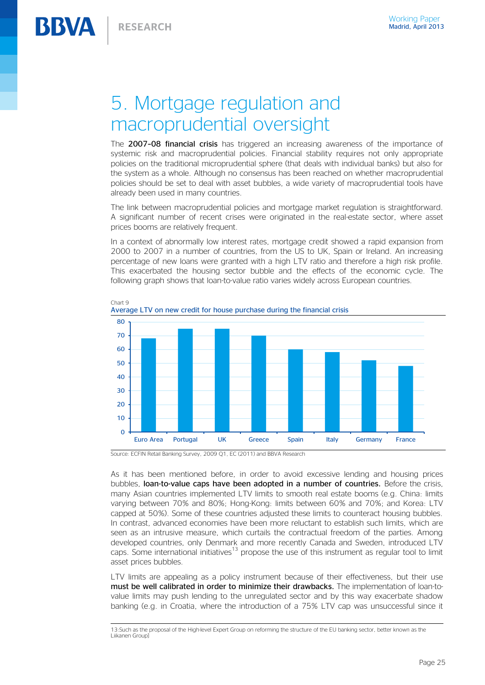# 5. Mortgage regulation and macroprudential oversight

The 2007-08 financial crisis has triggered an increasing awareness of the importance of systemic risk and macroprudential policies. Financial stability requires not only appropriate policies on the traditional microprudential sphere (that deals with individual banks) but also for the system as a whole. Although no consensus has been reached on whether macroprudential policies should be set to deal with asset bubbles, a wide variety of macroprudential tools have already been used in many countries.

The link between macroprudential policies and mortgage market regulation is straightforward. A significant number of recent crises were originated in the real-estate sector, where asset prices booms are relatively frequent.

In a context of abnormally low interest rates, mortgage credit showed a rapid expansion from 2000 to 2007 in a number of countries, from the US to UK, Spain or Ireland. An increasing percentage of new loans were granted with a high LTV ratio and therefore a high risk profile. This exacerbated the housing sector bubble and the effects of the economic cycle. The following graph shows that loan-to-value ratio varies widely across European countries.



Chart 9 Average LTV on new credit for house purchase during the financial crisis

Source: ECFIN Retail Banking Survey, 2009 Q1, EC (2011) and BBVA Research

-

As it has been mentioned before, in order to avoid excessive lending and housing prices bubbles, loan-to-value caps have been adopted in a number of countries. Before the crisis, many Asian countries implemented LTV limits to smooth real estate booms (e.g. China: limits varying between 70% and 80%; Hong-Kong: limits between 60% and 70%; and Korea: LTV capped at 50%). Some of these countries adjusted these limits to counteract housing bubbles. In contrast, advanced economies have been more reluctant to establish such limits, which are seen as an intrusive measure, which curtails the contractual freedom of the parties. Among developed countries, only Denmark and more recently Canada and Sweden, introduced LTV caps. Some international initiatives<sup>13</sup> propose the use of this instrument as regular tool to limit asset prices bubbles.

LTV limits are appealing as a policy instrument because of their effectiveness, but their use must be well calibrated in order to minimize their drawbacks. The implementation of loan-tovalue limits may push lending to the unregulated sector and by this way exacerbate shadow banking (e.g. in Croatia, where the introduction of a 75% LTV cap was unsuccessful since it

<sup>13:</sup>Such as the proposal of the High-level Expert Group on reforming the structure of the EU banking sector, better known as the Liikanen Group]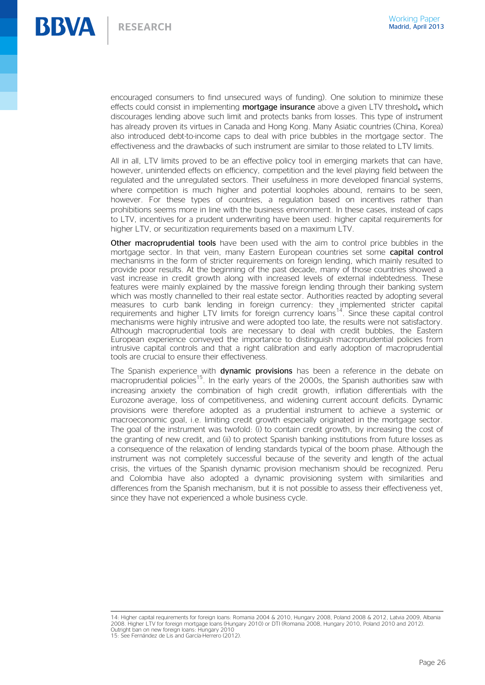

encouraged consumers to find unsecured ways of funding). One solution to minimize these effects could consist in implementing mortgage insurance above a given LTV threshold**,** which discourages lending above such limit and protects banks from losses. This type of instrument has already proven its virtues in Canada and Hong Kong. Many Asiatic countries (China, Korea) also introduced debt-to-income caps to deal with price bubbles in the mortgage sector. The effectiveness and the drawbacks of such instrument are similar to those related to LTV limits.

All in all, LTV limits proved to be an effective policy tool in emerging markets that can have, however, unintended effects on efficiency, competition and the level playing field between the regulated and the unregulated sectors. Their usefulness in more developed financial systems, where competition is much higher and potential loopholes abound, remains to be seen, however. For these types of countries, a regulation based on incentives rather than prohibitions seems more in line with the business environment. In these cases, instead of caps to LTV, incentives for a prudent underwriting have been used: higher capital requirements for higher LTV, or securitization requirements based on a maximum LTV.

Other macroprudential tools have been used with the aim to control price bubbles in the mortgage sector. In that vein, many Eastern European countries set some capital control mechanisms in the form of stricter requirements on foreign lending, which mainly resulted to provide poor results. At the beginning of the past decade, many of those countries showed a vast increase in credit growth along with increased levels of external indebtedness. These features were mainly explained by the massive foreign lending through their banking system which was mostly channelled to their real estate sector. Authorities reacted by adopting several measures to curb bank lending in foreign currency: they implemented stricter capital requirements and higher LTV limits for foreign currency loans<sup>14</sup>. Since these capital control mechanisms were highly intrusive and were adopted too late, the results were not satisfactory. Although macroprudential tools are necessary to deal with credit bubbles, the Eastern European experience conveyed the importance to distinguish macroprudential policies from intrusive capital controls and that a right calibration and early adoption of macroprudential tools are crucial to ensure their effectiveness.

The Spanish experience with **dynamic provisions** has been a reference in the debate on macroprudential policies<sup>15</sup>. In the early years of the 2000s, the Spanish authorities saw with increasing anxiety the combination of high credit growth, inflation differentials with the Eurozone average, loss of competitiveness, and widening current account deficits. Dynamic provisions were therefore adopted as a prudential instrument to achieve a systemic or macroeconomic goal, i.e. limiting credit growth especially originated in the mortgage sector. The goal of the instrument was twofold: (i) to contain credit growth, by increasing the cost of the granting of new credit, and (ii) to protect Spanish banking institutions from future losses as a consequence of the relaxation of lending standards typical of the boom phase. Although the instrument was not completely successful because of the severity and length of the actual crisis, the virtues of the Spanish dynamic provision mechanism should be recognized. Peru and Colombia have also adopted a dynamic provisioning system with similarities and differences from the Spanish mechanism, but it is not possible to assess their effectiveness yet, since they have not experienced a whole business cycle.

<sup>—&</sup>lt;br>14: Higher capital requirements for foreign Ioans: Romania 2004 & 2010, Hungary 2008, Poland 2008 & 2012, Latvia 2009, Albania<br>2008. Higher LTV for foreign mortgage Ioans (Hungary 2010) or DTI (Romania 2008, Hungary 2010 Outright ban on new foreign loans: Hungary 2010 15: See Fernández de Lis and García-Herrero (2012).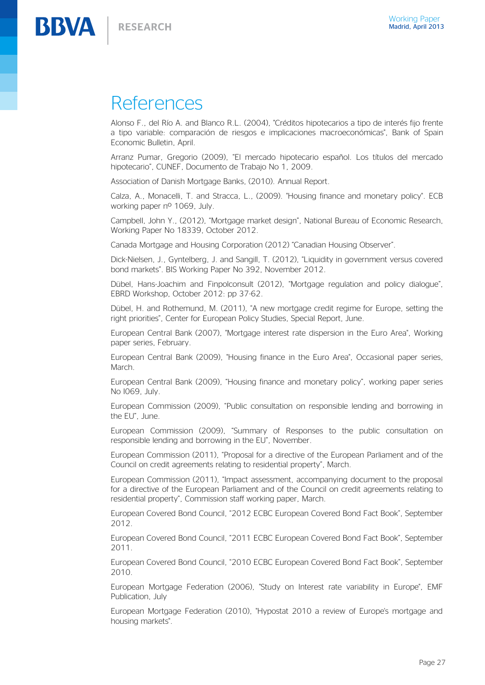**BBVA** RESEARCH

# References

Alonso F., del Río A. and Blanco R.L. (2004), "Créditos hipotecarios a tipo de interés fijo frente a tipo variable: comparación de riesgos e implicaciones macroeconómicas", Bank of Spain Economic Bulletin, April.

Arranz Pumar, Gregorio (2009), "El mercado hipotecario español. Los títulos del mercado hipotecario", CUNEF, Documento de Trabajo No 1, 2009.

Association of Danish Mortgage Banks, (2010). Annual Report.

Calza, A., Monacelli, T. and Stracca, L., (2009). "Housing finance and monetary policy". ECB working paper nº 1069, July.

Campbell, John Y., (2012), "Mortgage market design", National Bureau of Economic Research, Working Paper No 18339, October 2012.

Canada Mortgage and Housing Corporation (2012) "Canadian Housing Observer".

Dick-Nielsen, J., Gyntelberg, J. and Sangill, T. (2012), "Liquidity in government versus covered bond markets". BIS Working Paper No 392, November 2012.

Dübel, Hans-Joachim and Finpolconsult (2012), "Mortgage regulation and policy dialogue", EBRD Workshop, October 2012: pp 37-62.

Dübel, H. and Rothemund, M. (2011), "A new mortgage credit regime for Europe, setting the right priorities", Center for European Policy Studies, Special Report, June.

European Central Bank (2007), "Mortgage interest rate dispersion in the Euro Area", Working paper series, February.

European Central Bank (2009), "Housing finance in the Euro Area", Occasional paper series, **March** 

European Central Bank (2009), "Housing finance and monetary policy", working paper series No I069, July.

European Commission (2009), "Public consultation on responsible lending and borrowing in the EU", June.

European Commission (2009), "Summary of Responses to the public consultation on responsible lending and borrowing in the EU", November.

European Commission (2011), "Proposal for a directive of the European Parliament and of the Council on credit agreements relating to residential property", March.

European Commission (2011), "Impact assessment, accompanying document to the proposal for a directive of the European Parliament and of the Council on credit agreements relating to residential property", Commission staff working paper, March.

European Covered Bond Council, "2012 ECBC European Covered Bond Fact Book", September 2012.

European Covered Bond Council, "2011 ECBC European Covered Bond Fact Book", September 2011.

European Covered Bond Council, "2010 ECBC European Covered Bond Fact Book", September 2010.

European Mortgage Federation (2006), "Study on Interest rate variability in Europe", EMF Publication, July

European Mortgage Federation (2010), "Hypostat 2010 a review of Europe's mortgage and housing markets".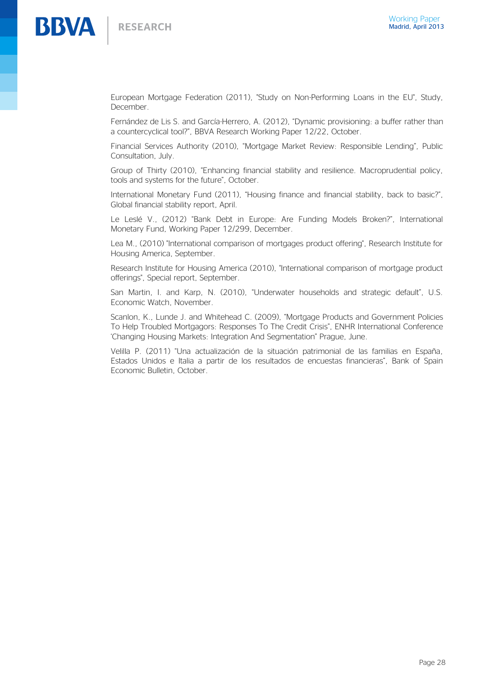

European Mortgage Federation (2011), "Study on Non-Performing Loans in the EU", Study, December.

Fernández de Lis S. and García-Herrero, A. (2012), "Dynamic provisioning: a buffer rather than a countercyclical tool?", BBVA Research Working Paper 12/22, October.

Financial Services Authority (2010), "Mortgage Market Review: Responsible Lending", Public Consultation, July.

Group of Thirty (2010), "Enhancing financial stability and resilience. Macroprudential policy, tools and systems for the future", October.

International Monetary Fund (2011), "Housing finance and financial stability, back to basic?", Global financial stability report, April.

Le Leslé V., (2012) "Bank Debt in Europe: Are Funding Models Broken?", International Monetary Fund, Working Paper 12/299, December.

Lea M., (2010) "International comparison of mortgages product offering", Research Institute for Housing America, September.

Research Institute for Housing America (2010), "International comparison of mortgage product offerings", Special report, September.

San Martin, I. and Karp, N. (2010), "Underwater households and strategic default", U.S. Economic Watch, November.

Scanlon, K., Lunde J. and Whitehead C. (2009), "Mortgage Products and Government Policies To Help Troubled Mortgagors: Responses To The Credit Crisis", ENHR International Conference 'Changing Housing Markets: Integration And Segmentation" Prague, June.

Velilla P. (2011) "Una actualización de la situación patrimonial de las familias en España, Estados Unidos e Italia a partir de los resultados de encuestas financieras", Bank of Spain Economic Bulletin, October.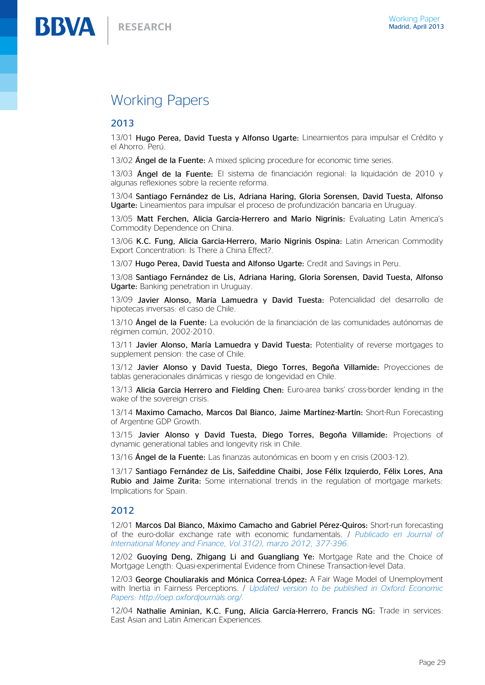### Working Papers

#### 2013

13/01 Hugo Perea, David Tuesta y Alfonso Ugarte: Lineamientos para impulsar el Crédito y el Ahorro. Perú.

13/02 **Ángel de la Fuente:** A mixed splicing procedure for economic time series.

13/03 Ángel de la Fuente: El sistema de financiación regional: la liquidación de 2010 y algunas reflexiones sobre la reciente reforma.

13/04 Santiago Fernández de Lis, Adriana Haring, Gloria Sorensen, David Tuesta, Alfonso Ugarte: Lineamientos para impulsar el proceso de profundización bancaria en Uruguay.

13/05 Matt Ferchen, Alicia Garcia-Herrero and Mario Nigrinis: Evaluating Latin America's Commodity Dependence on China.

13/06 K.C. Fung, Alicia Garcia-Herrero, Mario Nigrinis Ospina: Latin American Commodity Export Concentration: Is There a China Effect?.

13/07 Hugo Perea, David Tuesta and Alfonso Ugarte: Credit and Savings in Peru.

13/08 Santiago Fernández de Lis, Adriana Haring, Gloria Sorensen, David Tuesta, Alfonso Ugarte: Banking penetration in Uruguay.

13/09 Javier Alonso, María Lamuedra y David Tuesta: Potencialidad del desarrollo de hipotecas inversas: el caso de Chile.

13/10 **Ángel de la Fuente:** La evolución de la financiación de las comunidades autónomas de régimen común, 2002-2010.

13/11 Javier Alonso, María Lamuedra y David Tuesta: Potentiality of reverse mortgages to supplement pension: the case of Chile.

13/12 Javier Alonso y David Tuesta, Diego Torres, Begoña Villamide: Proyecciones de tablas generacionales dinámicas y riesgo de longevidad en Chile.

13/13 Alicia Garcia Herrero and Fielding Chen: Euro-area banks' cross-border lending in the wake of the sovereign crisis.

13/14 Maximo Camacho, Marcos Dal Bianco, Jaime Martínez-Martín: Short-Run Forecasting of Argentine GDP Growth.

13/15 Javier Alonso y David Tuesta, Diego Torres, Begoña Villamide: Projections of dynamic generational tables and longevity risk in Chile.

13/16 Ángel de la Fuente: Las finanzas autonómicas en boom y en crisis (2003-12).

13/17 Santiago Fernández de Lis, Saifeddine Chaibi, Jose Félix Izquierdo, Félix Lores, Ana **Rubio and Jaime Zurita:** Some international trends in the regulation of mortgage markets: Implications for Spain.

#### 2012

12/01 Marcos Dal Bianco, Máximo Camacho and Gabriel Pérez-Quiros: Short-run forecasting of the euro-dollar exchange rate with economic fundamentals. / *Publicado en Journal of International Money and Finance, Vol.31(2), marzo 2012, 377-396.*

12/02 Guoying Deng, Zhigang Li and Guangliang Ye: Mortgage Rate and the Choice of Mortgage Length: Quasi-experimental Evidence from Chinese Transaction-level Data.

12/03 George Chouliarakis and Mónica Correa-López: A Fair Wage Model of Unemployment with Inertia in Fairness Perceptions. / *Updated version to be published in Oxford Economic Papers: [http://oep.oxfordjournals.org/.](http://oep.oxfordjournals.org/)*

12/04 Nathalie Aminian, K.C. Fung, Alicia García-Herrero, Francis NG: Trade in services: East Asian and Latin American Experiences.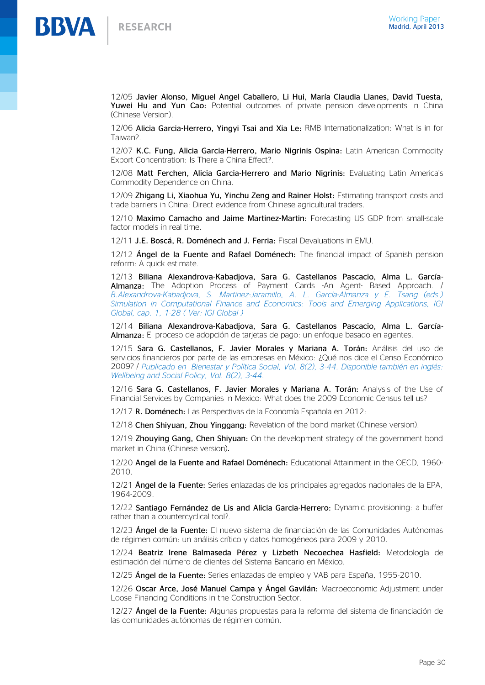

12/05 Javier Alonso, Miguel Angel Caballero, Li Hui, María Claudia Llanes, David Tuesta, Yuwei Hu and Yun Cao: Potential outcomes of private pension developments in China (Chinese Version).

12/06 Alicia Garcia-Herrero, Yingyi Tsai and Xia Le: RMB Internationalization: What is in for Taiwan?.

12/07 K.C. Fung, Alicia Garcia-Herrero, Mario Nigrinis Ospina: Latin American Commodity Export Concentration: Is There a China Effect?.

12/08 Matt Ferchen, Alicia Garcia-Herrero and Mario Nigrinis: Evaluating Latin America's Commodity Dependence on China.

12/09 Zhigang Li, Xiaohua Yu, Yinchu Zeng and Rainer Holst: Estimating transport costs and trade barriers in China: Direct evidence from Chinese agricultural traders.

12/10 Maximo Camacho and Jaime Martinez-Martin: Forecasting US GDP from small-scale factor models in real time.

12/11 J.E. Boscá, R. Doménech and J. Ferria: Fiscal Devaluations in EMU.

12/12 Ángel de la Fuente and Rafael Doménech: The financial impact of Spanish pension reform: A quick estimate.

12/13 Biliana Alexandrova-Kabadjova, Sara G. Castellanos Pascacio, Alma L. García-Almanza: The Adoption Process of Payment Cards -An Agent- Based Approach. / *B.Alexandrova-Kabadjova, S. Martinez-Jaramillo, A. L. García-Almanza y E. Tsang (eds.) Simulation in Computational Finance and Economics: Tools and Emerging Applications, IGI Global, cap. 1, 1-28 ( Ver: [IGI Global](http://www.igi-global.com/chapter/adoption-process-payment-cards/68688) )*

12/14 Biliana Alexandrova-Kabadjova, Sara G. Castellanos Pascacio, Alma L. García-Almanza: El proceso de adopción de tarjetas de pago: un enfoque basado en agentes.

12/15 Sara G. Castellanos, F. Javier Morales y Mariana A. Torán: Análisis del uso de servicios financieros por parte de las empresas en México: ¿Qué nos dice el Censo Económico 2009? / *Publicado en Bienestar y Política Social, Vol. 8(2), 3-44. Disponible también en inglés: Wellbeing and Social Policy, Vol. 8(2), 3-44.*

12/16 Sara G. Castellanos, F. Javier Morales y Mariana A. Torán: Analysis of the Use of Financial Services by Companies in Mexico: What does the 2009 Economic Census tell us?

12/17 R. Doménech: Las Perspectivas de la Economía Española en 2012:

12/18 Chen Shiyuan, Zhou Yinggang: Revelation of the bond market (Chinese version).

12/19 Zhouying Gang, Chen Shiyuan: On the development strategy of the government bond market in China (Chinese version).

12/20 Angel de la Fuente and Rafael Doménech: Educational Attainment in the OECD, 1960- 2010.

12/21 Ángel de la Fuente: Series enlazadas de los principales agregados nacionales de la EPA, 1964-2009.

12/22 Santiago Fernández de Lis and Alicia Garcia-Herrero: Dynamic provisioning: a buffer rather than a countercyclical tool?.

12/23 Ángel de la Fuente: El nuevo sistema de financiación de las Comunidades Autónomas de régimen común: un análisis crítico y datos homogéneos para 2009 y 2010.

12/24 Beatriz Irene Balmaseda Pérez y Lizbeth Necoechea Hasfield: Metodología de estimación del número de clientes del Sistema Bancario en México.

12/25 Ángel de la Fuente: Series enlazadas de empleo y VAB para España, 1955-2010.

12/26 Oscar Arce, José Manuel Campa y Ángel Gavilán: Macroeconomic Adjustment under Loose Financing Conditions in the Construction Sector.

12/27 **Ángel de la Fuente:** Algunas propuestas para la reforma del sistema de financiación de las comunidades autónomas de régimen común.